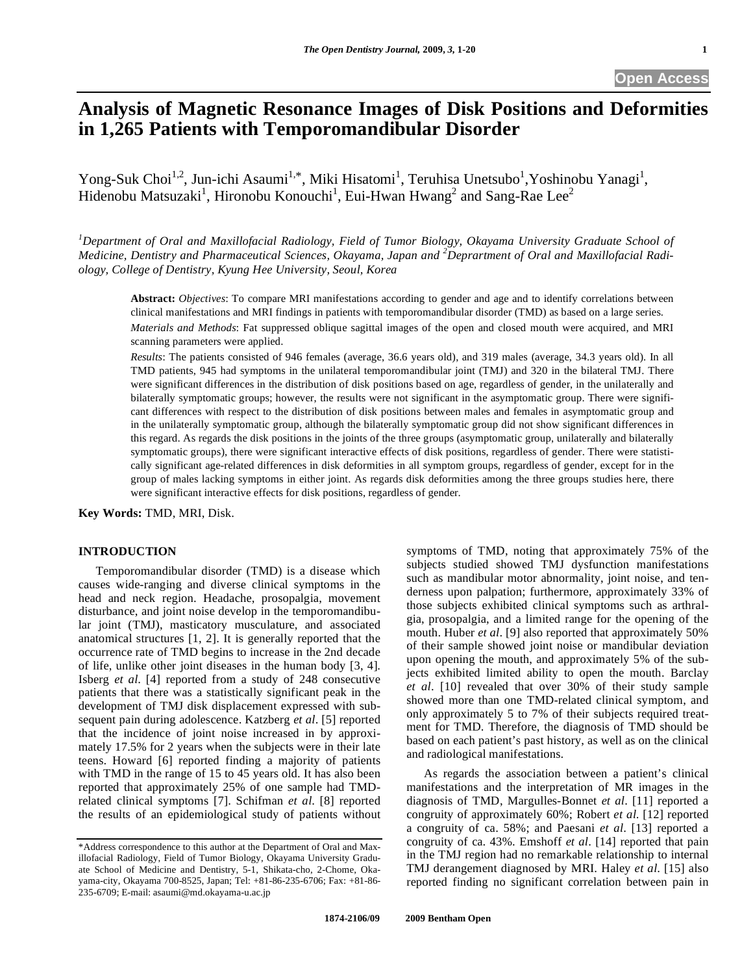# **Analysis of Magnetic Resonance Images of Disk Positions and Deformities in 1,265 Patients with Temporomandibular Disorder**

Yong-Suk Choi<sup>1,2</sup>, Jun-ichi Asaumi<sup>1,\*</sup>, Miki Hisatomi<sup>1</sup>, Teruhisa Unetsubo<sup>1</sup>, Yoshinobu Yanagi<sup>1</sup>, Hidenobu Matsuzaki<sup>1</sup>, Hironobu Konouchi<sup>1</sup>, Eui-Hwan Hwang<sup>2</sup> and Sang-Rae Lee<sup>2</sup>

*1 Department of Oral and Maxillofacial Radiology, Field of Tumor Biology, Okayama University Graduate School of Medicine, Dentistry and Pharmaceutical Sciences, Okayama, Japan and <sup>2</sup> Deprartment of Oral and Maxillofacial Radiology, College of Dentistry, Kyung Hee University, Seoul, Korea* 

**Abstract:** *Objectives*: To compare MRI manifestations according to gender and age and to identify correlations between clinical manifestations and MRI findings in patients with temporomandibular disorder (TMD) as based on a large series. *Materials and Methods*: Fat suppressed oblique sagittal images of the open and closed mouth were acquired, and MRI scanning parameters were applied.

*Results*: The patients consisted of 946 females (average, 36.6 years old), and 319 males (average, 34.3 years old). In all TMD patients, 945 had symptoms in the unilateral temporomandibular joint (TMJ) and 320 in the bilateral TMJ. There were significant differences in the distribution of disk positions based on age, regardless of gender, in the unilaterally and bilaterally symptomatic groups; however, the results were not significant in the asymptomatic group. There were significant differences with respect to the distribution of disk positions between males and females in asymptomatic group and in the unilaterally symptomatic group, although the bilaterally symptomatic group did not show significant differences in this regard. As regards the disk positions in the joints of the three groups (asymptomatic group, unilaterally and bilaterally symptomatic groups), there were significant interactive effects of disk positions, regardless of gender. There were statistically significant age-related differences in disk deformities in all symptom groups, regardless of gender, except for in the group of males lacking symptoms in either joint. As regards disk deformities among the three groups studies here, there were significant interactive effects for disk positions, regardless of gender.

**Key Words:** TMD, MRI, Disk.

#### **INTRODUCTION**

 Temporomandibular disorder (TMD) is a disease which causes wide-ranging and diverse clinical symptoms in the head and neck region. Headache, prosopalgia, movement disturbance, and joint noise develop in the temporomandibular joint (TMJ), masticatory musculature, and associated anatomical structures [1, 2]. It is generally reported that the occurrence rate of TMD begins to increase in the 2nd decade of life, unlike other joint diseases in the human body [3, 4]. Isberg *et al*. [4] reported from a study of 248 consecutive patients that there was a statistically significant peak in the development of TMJ disk displacement expressed with subsequent pain during adolescence. Katzberg *et al*. [5] reported that the incidence of joint noise increased in by approximately 17.5% for 2 years when the subjects were in their late teens. Howard [6] reported finding a majority of patients with TMD in the range of 15 to 45 years old. It has also been reported that approximately 25% of one sample had TMDrelated clinical symptoms [7]. Schifman *et al*. [8] reported the results of an epidemiological study of patients without

symptoms of TMD, noting that approximately 75% of the subjects studied showed TMJ dysfunction manifestations such as mandibular motor abnormality, joint noise, and tenderness upon palpation; furthermore, approximately 33% of those subjects exhibited clinical symptoms such as arthralgia, prosopalgia, and a limited range for the opening of the mouth. Huber *et al*. [9] also reported that approximately 50% of their sample showed joint noise or mandibular deviation upon opening the mouth, and approximately 5% of the subjects exhibited limited ability to open the mouth. Barclay *et al*. [10] revealed that over 30% of their study sample showed more than one TMD-related clinical symptom, and only approximately 5 to 7% of their subjects required treatment for TMD. Therefore, the diagnosis of TMD should be based on each patient's past history, as well as on the clinical and radiological manifestations.

 As regards the association between a patient's clinical manifestations and the interpretation of MR images in the diagnosis of TMD, Margulles-Bonnet *et al*. [11] reported a congruity of approximately 60%; Robert *et al*. [12] reported a congruity of ca. 58%; and Paesani *et al*. [13] reported a congruity of ca. 43%. Emshoff *et al*. [14] reported that pain in the TMJ region had no remarkable relationship to internal TMJ derangement diagnosed by MRI. Haley *et al*. [15] also reported finding no significant correlation between pain in

<sup>\*</sup>Address correspondence to this author at the Department of Oral and Maxillofacial Radiology, Field of Tumor Biology, Okayama University Graduate School of Medicine and Dentistry, 5-1, Shikata-cho, 2-Chome, Okayama-city, Okayama 700-8525, Japan; Tel: +81-86-235-6706; Fax: +81-86- 235-6709; E-mail: asaumi@md.okayama-u.ac.jp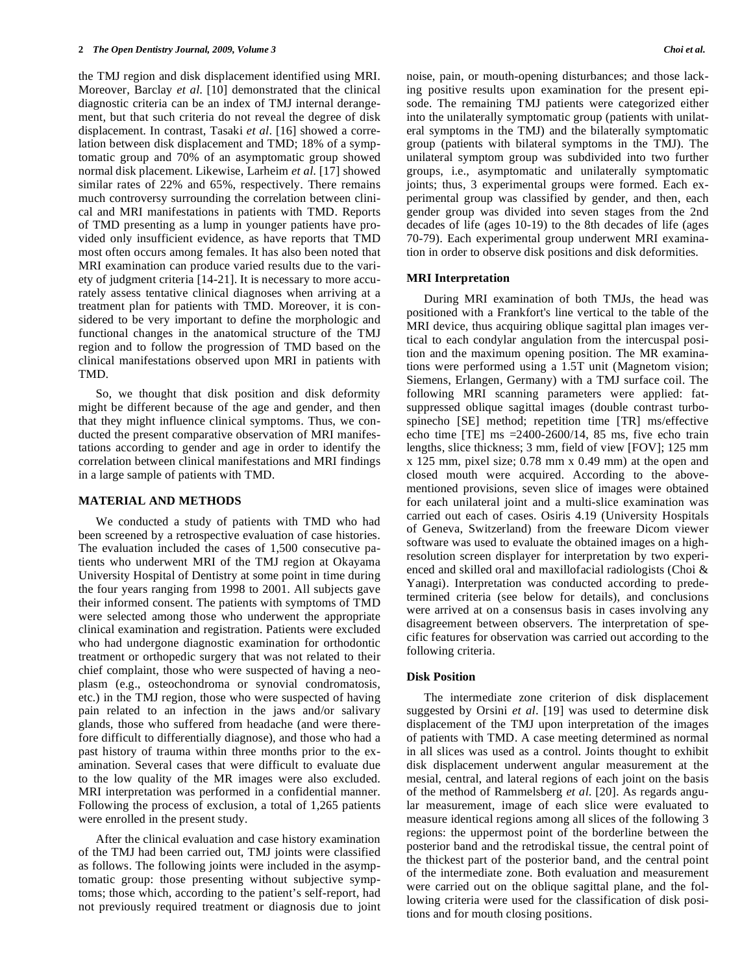the TMJ region and disk displacement identified using MRI. Moreover, Barclay *et al*. [10] demonstrated that the clinical diagnostic criteria can be an index of TMJ internal derangement, but that such criteria do not reveal the degree of disk displacement. In contrast, Tasaki *et al*. [16] showed a correlation between disk displacement and TMD; 18% of a symptomatic group and 70% of an asymptomatic group showed normal disk placement. Likewise, Larheim *et al*. [17] showed similar rates of 22% and 65%, respectively. There remains much controversy surrounding the correlation between clinical and MRI manifestations in patients with TMD. Reports of TMD presenting as a lump in younger patients have provided only insufficient evidence, as have reports that TMD most often occurs among females. It has also been noted that MRI examination can produce varied results due to the variety of judgment criteria [14-21]. It is necessary to more accurately assess tentative clinical diagnoses when arriving at a treatment plan for patients with TMD. Moreover, it is considered to be very important to define the morphologic and functional changes in the anatomical structure of the TMJ region and to follow the progression of TMD based on the clinical manifestations observed upon MRI in patients with TMD.

 So, we thought that disk position and disk deformity might be different because of the age and gender, and then that they might influence clinical symptoms. Thus, we conducted the present comparative observation of MRI manifestations according to gender and age in order to identify the correlation between clinical manifestations and MRI findings in a large sample of patients with TMD.

## **MATERIAL AND METHODS**

 We conducted a study of patients with TMD who had been screened by a retrospective evaluation of case histories. The evaluation included the cases of 1,500 consecutive patients who underwent MRI of the TMJ region at Okayama University Hospital of Dentistry at some point in time during the four years ranging from 1998 to 2001. All subjects gave their informed consent. The patients with symptoms of TMD were selected among those who underwent the appropriate clinical examination and registration. Patients were excluded who had undergone diagnostic examination for orthodontic treatment or orthopedic surgery that was not related to their chief complaint, those who were suspected of having a neoplasm (e.g., osteochondroma or synovial condromatosis, etc.) in the TMJ region, those who were suspected of having pain related to an infection in the jaws and/or salivary glands, those who suffered from headache (and were therefore difficult to differentially diagnose), and those who had a past history of trauma within three months prior to the examination. Several cases that were difficult to evaluate due to the low quality of the MR images were also excluded. MRI interpretation was performed in a confidential manner. Following the process of exclusion, a total of 1,265 patients were enrolled in the present study.

 After the clinical evaluation and case history examination of the TMJ had been carried out, TMJ joints were classified as follows. The following joints were included in the asymptomatic group: those presenting without subjective symptoms; those which, according to the patient's self-report, had not previously required treatment or diagnosis due to joint noise, pain, or mouth-opening disturbances; and those lacking positive results upon examination for the present episode. The remaining TMJ patients were categorized either into the unilaterally symptomatic group (patients with unilateral symptoms in the TMJ) and the bilaterally symptomatic group (patients with bilateral symptoms in the TMJ). The unilateral symptom group was subdivided into two further groups, i.e., asymptomatic and unilaterally symptomatic joints; thus, 3 experimental groups were formed. Each experimental group was classified by gender, and then, each gender group was divided into seven stages from the 2nd decades of life (ages 10-19) to the 8th decades of life (ages 70-79). Each experimental group underwent MRI examination in order to observe disk positions and disk deformities.

## **MRI Interpretation**

 During MRI examination of both TMJs, the head was positioned with a Frankfort's line vertical to the table of the MRI device, thus acquiring oblique sagittal plan images vertical to each condylar angulation from the intercuspal position and the maximum opening position. The MR examinations were performed using a 1.5T unit (Magnetom vision; Siemens, Erlangen, Germany) with a TMJ surface coil. The following MRI scanning parameters were applied: fatsuppressed oblique sagittal images (double contrast turbospinecho [SE] method; repetition time [TR] ms/effective echo time [TE] ms  $=$  2400-2600/14, 85 ms, five echo train lengths, slice thickness; 3 mm, field of view [FOV]; 125 mm x 125 mm, pixel size; 0.78 mm x 0.49 mm) at the open and closed mouth were acquired. According to the abovementioned provisions, seven slice of images were obtained for each unilateral joint and a multi-slice examination was carried out each of cases. Osiris 4.19 (University Hospitals of Geneva, Switzerland) from the freeware Dicom viewer software was used to evaluate the obtained images on a highresolution screen displayer for interpretation by two experienced and skilled oral and maxillofacial radiologists (Choi & Yanagi). Interpretation was conducted according to predetermined criteria (see below for details), and conclusions were arrived at on a consensus basis in cases involving any disagreement between observers. The interpretation of specific features for observation was carried out according to the following criteria.

## **Disk Position**

 The intermediate zone criterion of disk displacement suggested by Orsini *et al*. [19] was used to determine disk displacement of the TMJ upon interpretation of the images of patients with TMD. A case meeting determined as normal in all slices was used as a control. Joints thought to exhibit disk displacement underwent angular measurement at the mesial, central, and lateral regions of each joint on the basis of the method of Rammelsberg *et al*. [20]. As regards angular measurement, image of each slice were evaluated to measure identical regions among all slices of the following 3 regions: the uppermost point of the borderline between the posterior band and the retrodiskal tissue, the central point of the thickest part of the posterior band, and the central point of the intermediate zone. Both evaluation and measurement were carried out on the oblique sagittal plane, and the following criteria were used for the classification of disk positions and for mouth closing positions.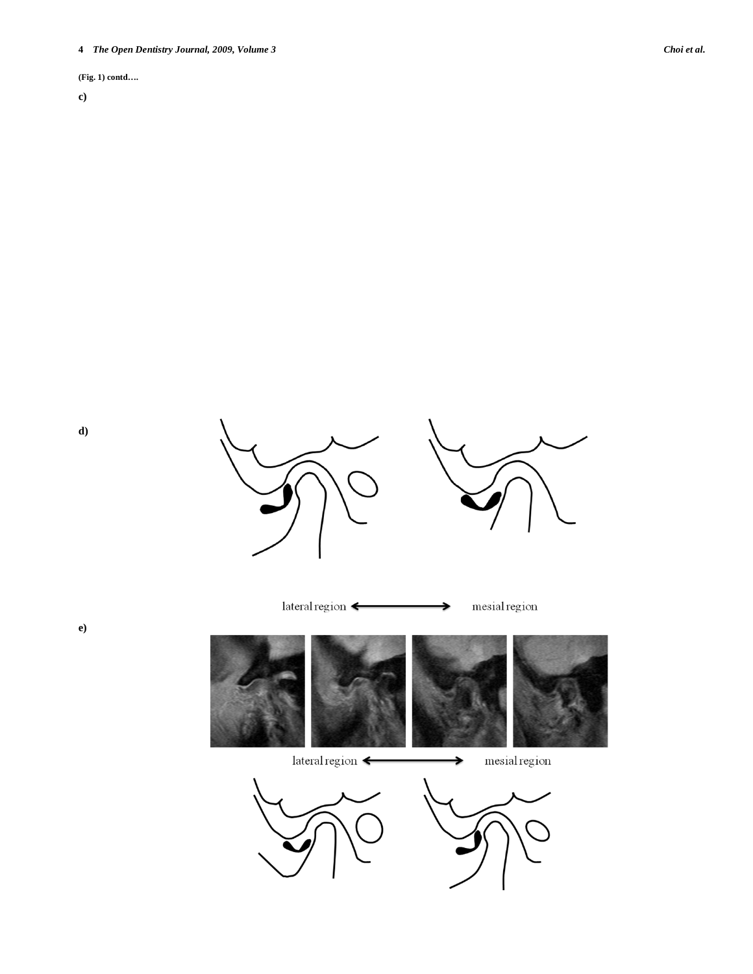**(Fig. 1) contd….** 

**d)** 

**e)** 

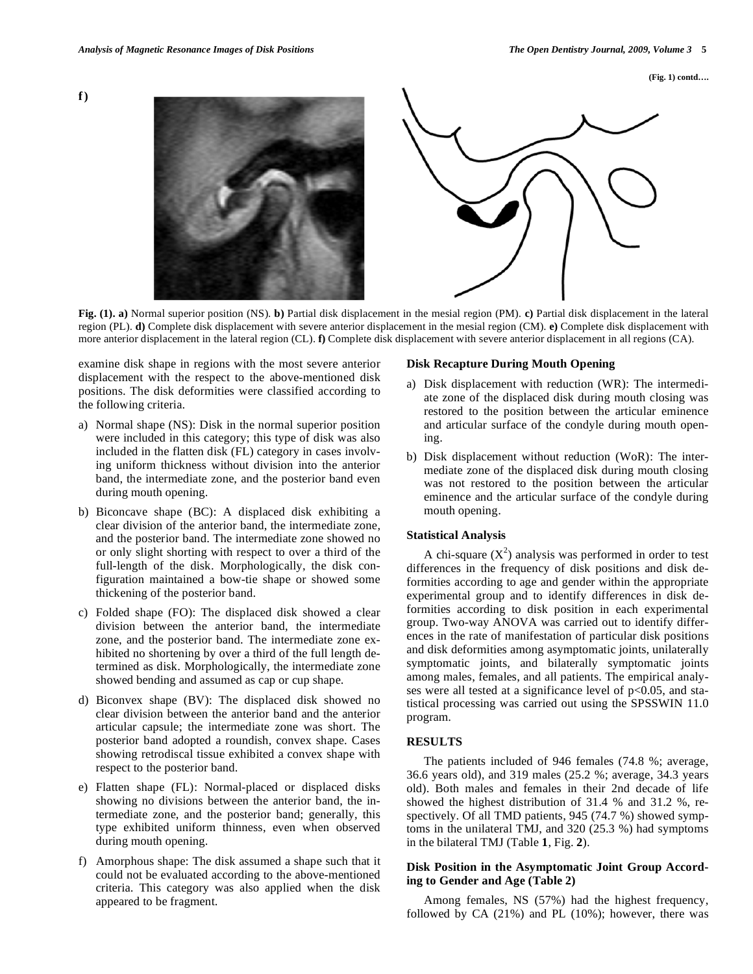**(Fig. 1) contd….** 



**Fig. (1). a)** Normal superior position (NS). **b)** Partial disk displacement in the mesial region (PM). **c)** Partial disk displacement in the lateral region (PL). **d)** Complete disk displacement with severe anterior displacement in the mesial region (CM). **e)** Complete disk displacement with more anterior displacement in the lateral region (CL). **f)** Complete disk displacement with severe anterior displacement in all regions (CA).

examine disk shape in regions with the most severe anterior displacement with the respect to the above-mentioned disk positions. The disk deformities were classified according to the following criteria.

- a) Normal shape (NS): Disk in the normal superior position were included in this category; this type of disk was also included in the flatten disk (FL) category in cases involving uniform thickness without division into the anterior band, the intermediate zone, and the posterior band even during mouth opening.
- b) Biconcave shape (BC): A displaced disk exhibiting a clear division of the anterior band, the intermediate zone, and the posterior band. The intermediate zone showed no or only slight shorting with respect to over a third of the full-length of the disk. Morphologically, the disk configuration maintained a bow-tie shape or showed some thickening of the posterior band.
- c) Folded shape (FO): The displaced disk showed a clear division between the anterior band, the intermediate zone, and the posterior band. The intermediate zone exhibited no shortening by over a third of the full length determined as disk. Morphologically, the intermediate zone showed bending and assumed as cap or cup shape.
- d) Biconvex shape (BV): The displaced disk showed no clear division between the anterior band and the anterior articular capsule; the intermediate zone was short. The posterior band adopted a roundish, convex shape. Cases showing retrodiscal tissue exhibited a convex shape with respect to the posterior band.
- e) Flatten shape (FL): Normal-placed or displaced disks showing no divisions between the anterior band, the intermediate zone, and the posterior band; generally, this type exhibited uniform thinness, even when observed during mouth opening.
- f) Amorphous shape: The disk assumed a shape such that it could not be evaluated according to the above-mentioned criteria. This category was also applied when the disk appeared to be fragment.

# **Disk Recapture During Mouth Opening**

- a) Disk displacement with reduction (WR): The intermediate zone of the displaced disk during mouth closing was restored to the position between the articular eminence and articular surface of the condyle during mouth opening.
- b) Disk displacement without reduction (WoR): The intermediate zone of the displaced disk during mouth closing was not restored to the position between the articular eminence and the articular surface of the condyle during mouth opening.

## **Statistical Analysis**

A chi-square  $(X^2)$  analysis was performed in order to test differences in the frequency of disk positions and disk deformities according to age and gender within the appropriate experimental group and to identify differences in disk deformities according to disk position in each experimental group. Two-way ANOVA was carried out to identify differences in the rate of manifestation of particular disk positions and disk deformities among asymptomatic joints, unilaterally symptomatic joints, and bilaterally symptomatic joints among males, females, and all patients. The empirical analyses were all tested at a significance level of  $p<0.05$ , and statistical processing was carried out using the SPSSWIN 11.0 program.

## **RESULTS**

 The patients included of 946 females (74.8 %; average, 36.6 years old), and 319 males (25.2 %; average, 34.3 years old). Both males and females in their 2nd decade of life showed the highest distribution of 31.4 % and 31.2 %, respectively. Of all TMD patients, 945 (74.7 %) showed symptoms in the unilateral TMJ, and 320 (25.3 %) had symptoms in the bilateral TMJ (Table **1**, Fig. **2**).

# **Disk Position in the Asymptomatic Joint Group According to Gender and Age (Table 2)**

 Among females, NS (57%) had the highest frequency, followed by CA (21%) and PL (10%); however, there was

**f)**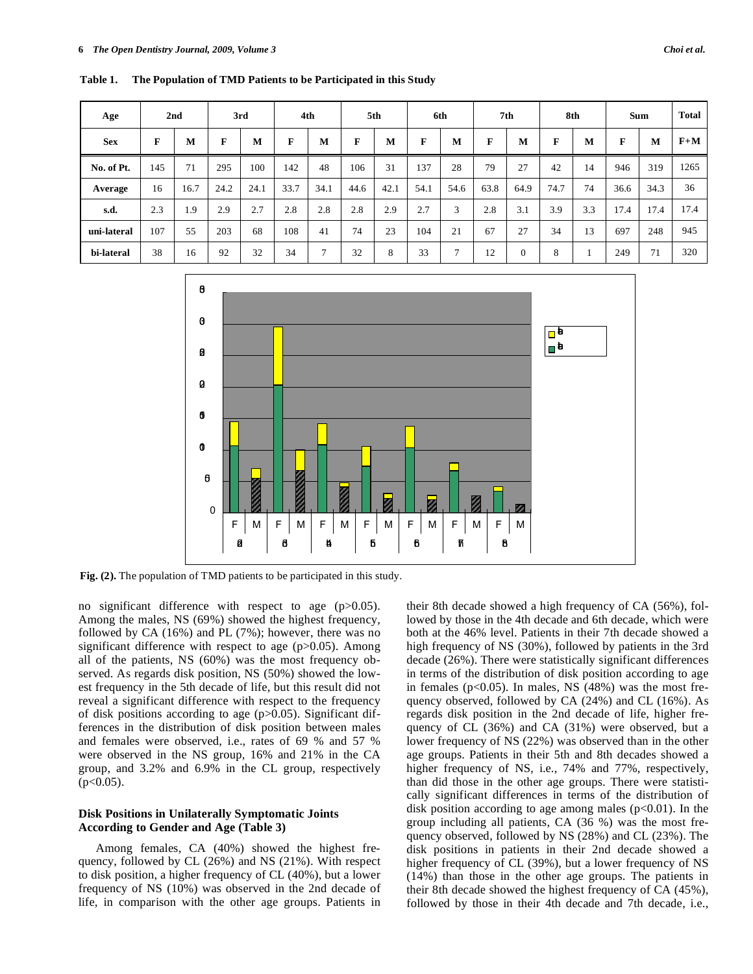**Table 1. The Population of TMD Patients to be Participated in this Study** 

| Age         |     | 2nd  |      | 3rd  |      | 4th  |      | 5th  |      | 6th  |      | 7th          |      | 8th |      | Sum  | <b>Total</b> |
|-------------|-----|------|------|------|------|------|------|------|------|------|------|--------------|------|-----|------|------|--------------|
| <b>Sex</b>  | F   | M    | F    | M    | F    | М    | F    | M    | F    | M    | F    | M            | F    | M   | F    | M    | $F+M$        |
| No. of Pt.  | 145 | 71   | 295  | 100  | 142  | 48   | 106  | 31   | 137  | 28   | 79   | 27           | 42   | 14  | 946  | 319  | 1265         |
| Average     | 16  | 16.7 | 24.2 | 24.1 | 33.7 | 34.1 | 44.6 | 42.1 | 54.1 | 54.6 | 63.8 | 64.9         | 74.7 | 74  | 36.6 | 34.3 | 36           |
| s.d.        | 2.3 | 1.9  | 2.9  | 2.7  | 2.8  | 2.8  | 2.8  | 2.9  | 2.7  | 3    | 2.8  | 3.1          | 3.9  | 3.3 | 17.4 | 17.4 | 17.4         |
| uni-lateral | 107 | 55   | 203  | 68   | 108  | 41   | 74   | 23   | 104  | 21   | 67   | 27           | 34   | 13  | 697  | 248  | 945          |
| bi-lateral  | 38  | 16   | 92   | 32   | 34   | ⇁    | 32   | 8    | 33   | ┑    | 12   | $\mathbf{0}$ | 8    |     | 249  | 71   | 320          |



**Fig. (2).** The population of TMD patients to be participated in this study.

no significant difference with respect to age (p>0.05). Among the males, NS (69%) showed the highest frequency, followed by CA (16%) and PL (7%); however, there was no significant difference with respect to age  $(p>0.05)$ . Among all of the patients, NS (60%) was the most frequency observed. As regards disk position, NS (50%) showed the lowest frequency in the 5th decade of life, but this result did not reveal a significant difference with respect to the frequency of disk positions according to age  $(p>0.05)$ . Significant differences in the distribution of disk position between males and females were observed, i.e., rates of 69 % and 57 % were observed in the NS group, 16% and 21% in the CA group, and 3.2% and 6.9% in the CL group, respectively  $(p<0.05)$ .

## **Disk Positions in Unilaterally Symptomatic Joints According to Gender and Age (Table 3)**

 Among females, CA (40%) showed the highest frequency, followed by CL (26%) and NS (21%). With respect to disk position, a higher frequency of CL (40%), but a lower frequency of NS (10%) was observed in the 2nd decade of life, in comparison with the other age groups. Patients in their 8th decade showed a high frequency of CA (56%), followed by those in the 4th decade and 6th decade, which were both at the 46% level. Patients in their 7th decade showed a high frequency of NS (30%), followed by patients in the 3rd decade (26%). There were statistically significant differences in terms of the distribution of disk position according to age in females ( $p<0.05$ ). In males, NS (48%) was the most frequency observed, followed by CA (24%) and CL (16%). As regards disk position in the 2nd decade of life, higher frequency of CL (36%) and CA (31%) were observed, but a lower frequency of NS (22%) was observed than in the other age groups. Patients in their 5th and 8th decades showed a higher frequency of NS, i.e., 74% and 77%, respectively, than did those in the other age groups. There were statistically significant differences in terms of the distribution of disk position according to age among males  $(p<0.01)$ . In the group including all patients, CA (36 %) was the most frequency observed, followed by NS (28%) and CL (23%). The disk positions in patients in their 2nd decade showed a higher frequency of CL (39%), but a lower frequency of NS (14%) than those in the other age groups. The patients in their 8th decade showed the highest frequency of CA (45%), followed by those in their 4th decade and 7th decade, i.e.,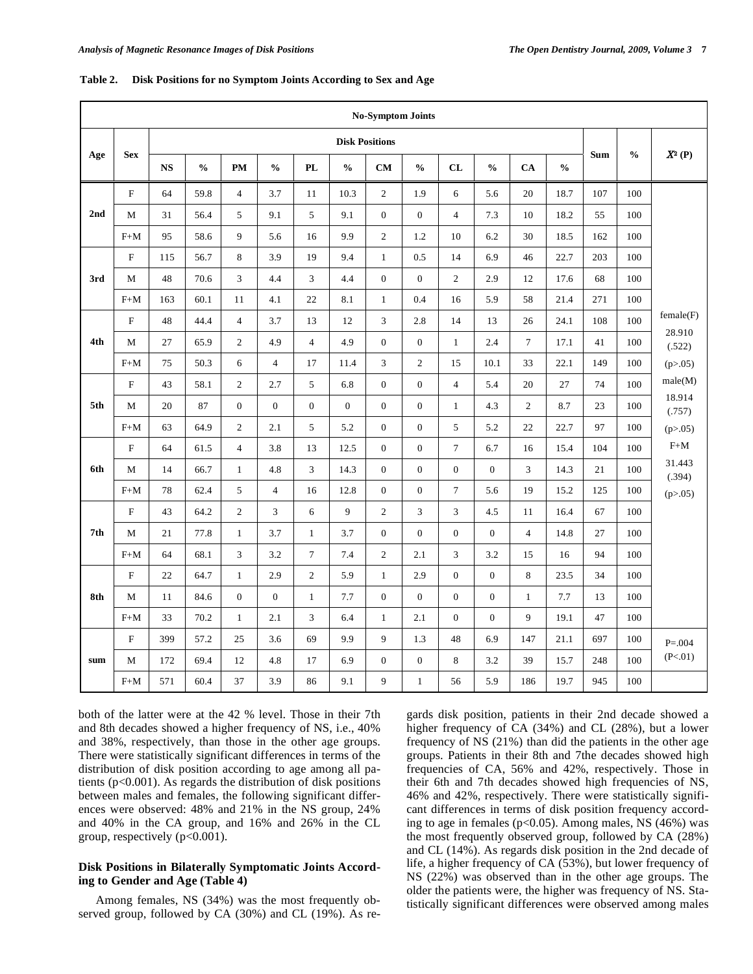|     |                           |           |               |                |                                    |                |                  |                       | <b>No-Symptom Joints</b>    |                |                  |                |               |     |               |                  |
|-----|---------------------------|-----------|---------------|----------------|------------------------------------|----------------|------------------|-----------------------|-----------------------------|----------------|------------------|----------------|---------------|-----|---------------|------------------|
|     |                           |           |               |                |                                    |                |                  | <b>Disk Positions</b> |                             |                |                  |                |               |     |               |                  |
| Age | <b>Sex</b>                | <b>NS</b> | $\frac{0}{0}$ | <b>PM</b>      | $\mathbf{0}_{\mathbf{0}}^{\prime}$ | PL             | $\frac{0}{0}$    | CM                    | $\frac{0}{0}$               | CL             | $\frac{0}{0}$    | CA             | $\frac{0}{0}$ | Sum | $\frac{0}{0}$ | $X^2(P)$         |
|     | F                         | 64        | 59.8          | $\overline{4}$ | 3.7                                | 11             | 10.3             | $\mathbf{2}$          | 1.9                         | 6              | 5.6              | 20             | 18.7          | 107 | 100           |                  |
| 2nd | M                         | 31        | 56.4          | 5              | 9.1                                | 5              | 9.1              | $\boldsymbol{0}$      | $\boldsymbol{0}$            | $\overline{4}$ | 7.3              | 10             | 18.2          | 55  | 100           |                  |
|     | $F+M$                     | 95        | 58.6          | 9              | 5.6                                | 16             | 9.9              | $\sqrt{2}$            | 1.2                         | 10             | 6.2              | 30             | 18.5          | 162 | 100           |                  |
|     | $\rm F$                   | 115       | 56.7          | 8              | 3.9                                | 19             | 9.4              | $\mathbf{1}$          | 0.5                         | 14             | 6.9              | 46             | 22.7          | 203 | 100           |                  |
| 3rd | M                         | 48        | 70.6          | $\mathbf{3}$   | 4.4                                | 3              | 4.4              | $\boldsymbol{0}$      | $\boldsymbol{0}$            | $\overline{2}$ | 2.9              | 12             | 17.6          | 68  | 100           |                  |
|     | $F+M$                     | 163       | 60.1          | 11             | 4.1                                | $22\,$         | 8.1              | $\mathbf{1}$          | 0.4                         | 16             | 5.9              | 58             | 21.4          | 271 | 100           |                  |
|     | $\boldsymbol{\mathrm{F}}$ | 48        | 44.4          | $\overline{4}$ | 3.7                                | 13             | 12               | $\mathfrak{Z}$        | 2.8                         | 14             | 13               | 26             | 24.1          | 108 | 100           | female(F)        |
| 4th | M                         | 27        | 65.9          | $\overline{2}$ | 4.9                                | $\overline{4}$ | 4.9              | $\boldsymbol{0}$      | $\overline{0}$              | $\mathbf{1}$   | 2.4              | $\tau$         | 17.1          | 41  | 100           | 28.910<br>(.522) |
|     | $F+M$                     | 75        | 50.3          | 6              | $\overline{4}$                     | 17             | 11.4             | $\mathfrak{Z}$        | $\overline{2}$              | 15             | 10.1             | 33             | 22.1          | 149 | 100           | (p > .05)        |
|     | $\mathbf F$               | 43        | 58.1          | $\overline{2}$ | 2.7                                | 5              | 6.8              | $\boldsymbol{0}$      | $\boldsymbol{0}$            | $\overline{4}$ | 5.4              | 20             | 27            | 74  | 100           | male(M)          |
| 5th | M                         | 20        | 87            | $\mathbf{0}$   | $\overline{0}$                     | $\overline{0}$ | $\boldsymbol{0}$ | $\boldsymbol{0}$      | $\boldsymbol{0}$            | $\mathbf{1}$   | 4.3              | $\overline{2}$ | 8.7           | 23  | 100           | 18.914<br>(.757) |
|     | $F+M$                     | 63        | 64.9          | $\overline{2}$ | 2.1                                | 5              | 5.2              | $\boldsymbol{0}$      | $\boldsymbol{0}$            | 5              | 5.2              | 22             | 22.7          | 97  | 100           | (p > .05)        |
|     | F                         | 64        | 61.5          | $\overline{4}$ | 3.8                                | 13             | 12.5             | $\boldsymbol{0}$      | $\boldsymbol{0}$            | $\tau$         | 6.7              | 16             | 15.4          | 104 | 100           | $F+M$            |
| 6th | M                         | 14        | 66.7          | $\mathbf{1}$   | 4.8                                | 3              | 14.3             | $\boldsymbol{0}$      | $\boldsymbol{0}$            | $\mathbf{0}$   | $\overline{0}$   | $\mathfrak{Z}$ | 14.3          | 21  | 100           | 31.443<br>(.394) |
|     | $F+M$                     | 78        | 62.4          | 5              | $\overline{4}$                     | 16             | 12.8             | $\boldsymbol{0}$      | $\boldsymbol{0}$            | $\tau$         | 5.6              | 19             | 15.2          | 125 | 100           | (p > .05)        |
|     | $\mathbf F$               | 43        | 64.2          | $\sqrt{2}$     | $\ensuremath{\mathfrak{Z}}$        | 6              | 9                | $\sqrt{2}$            | $\ensuremath{\mathfrak{Z}}$ | 3              | 4.5              | 11             | 16.4          | 67  | 100           |                  |
| 7th | M                         | 21        | 77.8          | $\mathbf{1}$   | 3.7                                | $\mathbf{1}$   | 3.7              | $\boldsymbol{0}$      | $\boldsymbol{0}$            | $\mathbf{0}$   | $\boldsymbol{0}$ | $\overline{4}$ | 14.8          | 27  | 100           |                  |
|     | $F+M$                     | 64        | 68.1          | 3              | 3.2                                | $\overline{7}$ | 7.4              | $\mathbf{2}$          | 2.1                         | $\overline{3}$ | 3.2              | 15             | 16            | 94  | 100           |                  |
|     | $\boldsymbol{\mathrm{F}}$ | 22        | 64.7          | $\mathbf{1}$   | 2.9                                | $\mathbf{2}$   | 5.9              | $\mathbf{1}$          | 2.9                         | $\mathbf{0}$   | $\boldsymbol{0}$ | $\,8\,$        | 23.5          | 34  | 100           |                  |
| 8th | M                         | 11        | 84.6          | $\mathbf{0}$   | $\mathbf{0}$                       | $\mathbf{1}$   | 7.7              | $\boldsymbol{0}$      | $\boldsymbol{0}$            | $\mathbf{0}$   | $\mathbf{0}$     | $\mathbf{1}$   | 7.7           | 13  | 100           |                  |
|     | $F+M$                     | 33        | 70.2          | $\mathbf{1}$   | 2.1                                | 3              | 6.4              | $\mathbf{1}$          | 2.1                         | $\mathbf{0}$   | $\mathbf{0}$     | 9              | 19.1          | 47  | 100           |                  |
|     | $\boldsymbol{\mathrm{F}}$ | 399       | 57.2          | 25             | 3.6                                | 69             | 9.9              | 9                     | 1.3                         | 48             | 6.9              | 147            | 21.1          | 697 | 100           | $P = 0.004$      |
| sum | M                         | 172       | 69.4          | 12             | 4.8                                | 17             | 6.9              | $\boldsymbol{0}$      | $\boldsymbol{0}$            | 8              | 3.2              | 39             | 15.7          | 248 | 100           | (P<.01)          |
|     | $F+M$                     | 571       | 60.4          | 37             | 3.9                                | 86             | 9.1              | 9                     | $\mathbf{1}$                | 56             | 5.9              | 186            | 19.7          | 945 | 100           |                  |

|  |  |  | Table 2. Disk Positions for no Symptom Joints According to Sex and Age |  |
|--|--|--|------------------------------------------------------------------------|--|
|--|--|--|------------------------------------------------------------------------|--|

both of the latter were at the 42 % level. Those in their 7th and 8th decades showed a higher frequency of NS, i.e., 40% and 38%, respectively, than those in the other age groups. There were statistically significant differences in terms of the distribution of disk position according to age among all patients (p<0.001). As regards the distribution of disk positions between males and females, the following significant differences were observed: 48% and 21% in the NS group, 24% and 40% in the CA group, and 16% and 26% in the CL group, respectively  $(p<0.001)$ .

## **Disk Positions in Bilaterally Symptomatic Joints According to Gender and Age (Table 4)**

 Among females, NS (34%) was the most frequently observed group, followed by CA (30%) and CL (19%). As regards disk position, patients in their 2nd decade showed a higher frequency of CA (34%) and CL (28%), but a lower frequency of NS (21%) than did the patients in the other age groups. Patients in their 8th and 7the decades showed high frequencies of CA, 56% and 42%, respectively. Those in their 6th and 7th decades showed high frequencies of NS, 46% and 42%, respectively. There were statistically significant differences in terms of disk position frequency according to age in females (p<0.05). Among males, NS (46%) was the most frequently observed group, followed by CA (28%) and CL (14%). As regards disk position in the 2nd decade of life, a higher frequency of CA (53%), but lower frequency of NS (22%) was observed than in the other age groups. The older the patients were, the higher was frequency of NS. Statistically significant differences were observed among males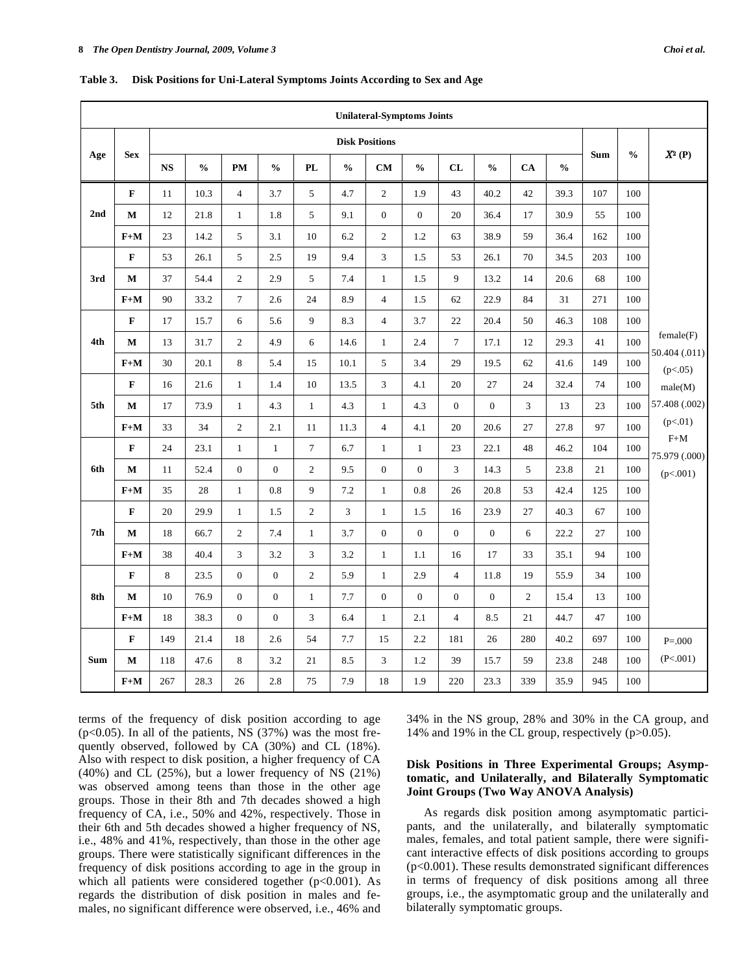|            |             |           |               |                |                  |                |               | <b>Unilateral-Symptoms Joints</b> |                  |                  |                  |                |               |            |               |                            |
|------------|-------------|-----------|---------------|----------------|------------------|----------------|---------------|-----------------------------------|------------------|------------------|------------------|----------------|---------------|------------|---------------|----------------------------|
|            |             |           |               |                |                  |                |               | <b>Disk Positions</b>             |                  |                  |                  |                |               |            |               |                            |
| Age        | <b>Sex</b>  | <b>NS</b> | $\frac{0}{0}$ | PM             | $\frac{0}{0}$    | PL             | $\frac{0}{0}$ | CM                                | $\frac{0}{0}$    | CL               | $\frac{0}{0}$    | CA             | $\frac{0}{0}$ | <b>Sum</b> | $\frac{0}{0}$ | $X^2(P)$                   |
|            | $\mathbf F$ | 11        | 10.3          | $\overline{4}$ | 3.7              | 5              | 4.7           | 2                                 | 1.9              | 43               | 40.2             | 42             | 39.3          | 107        | 100           |                            |
| 2nd        | $\mathbf M$ | 12        | 21.8          | $\mathbf{1}$   | 1.8              | 5              | 9.1           | $\boldsymbol{0}$                  | $\boldsymbol{0}$ | 20               | 36.4             | 17             | 30.9          | 55         | 100           |                            |
|            | $F+M$       | 23        | 14.2          | $\mathfrak s$  | 3.1              | 10             | 6.2           | $\sqrt{2}$                        | 1.2              | 63               | 38.9             | 59             | 36.4          | 162        | 100           |                            |
|            | $\mathbf F$ | 53        | 26.1          | 5              | 2.5              | 19             | 9.4           | 3                                 | 1.5              | 53               | 26.1             | 70             | 34.5          | 203        | 100           |                            |
| 3rd        | $\mathbf M$ | 37        | 54.4          | $\overline{2}$ | 2.9              | 5              | 7.4           | $\mathbf{1}$                      | 1.5              | 9                | 13.2             | 14             | 20.6          | 68         | 100           |                            |
|            | $F+M$       | 90        | 33.2          | $\tau$         | 2.6              | 24             | 8.9           | $\overline{4}$                    | 1.5              | 62               | 22.9             | 84             | 31            | 271        | 100           |                            |
|            | $\mathbf F$ | 17        | 15.7          | 6              | 5.6              | 9              | 8.3           | $\overline{4}$                    | 3.7              | 22               | 20.4             | 50             | 46.3          | 108        | 100           |                            |
| 4th        | $\mathbf M$ | 13        | 31.7          | $\overline{2}$ | 4.9              | 6              | 14.6          | $\mathbf{1}$                      | 2.4              | $\tau$           | 17.1             | 12             | 29.3          | 41         | 100           | female(F)<br>50.404 (.011) |
|            | $F+M$       | 30        | 20.1          | 8              | 5.4              | 15             | 10.1          | 5                                 | 3.4              | 29               | 19.5             | 62             | 41.6          | 149        | 100           | (p<.05)                    |
|            | $\mathbf F$ | 16        | 21.6          | $\mathbf{1}$   | 1.4              | 10             | 13.5          | 3                                 | 4.1              | 20               | 27               | 24             | 32.4          | 74         | 100           | male(M)                    |
| 5th        | $\mathbf M$ | 17        | 73.9          | $\mathbf{1}$   | 4.3              | $\mathbf{1}$   | 4.3           | $\mathbf{1}$                      | 4.3              | $\boldsymbol{0}$ | $\boldsymbol{0}$ | $\mathfrak{Z}$ | 13            | 23         | 100           | 57.408 (.002)              |
|            | $F+M$       | 33        | 34            | $\overline{c}$ | 2.1              | 11             | 11.3          | $\overline{4}$                    | 4.1              | 20               | 20.6             | 27             | 27.8          | 97         | 100           | (p<.01)                    |
|            | $\mathbf F$ | 24        | 23.1          | $\mathbf{1}$   | $1\,$            | $\overline{7}$ | 6.7           | $\mathbf{1}$                      | $\mathbf{1}$     | 23               | 22.1             | 48             | 46.2          | 104        | 100           | $F+M$<br>75.979 (.000)     |
| 6th        | $\mathbf M$ | 11        | 52.4          | $\mathbf{0}$   | $\overline{0}$   | $\overline{2}$ | 9.5           | $\boldsymbol{0}$                  | $\boldsymbol{0}$ | 3                | 14.3             | 5              | 23.8          | 21         | 100           | (p<.001)                   |
|            | $F+M$       | 35        | 28            | $\mathbf{1}$   | 0.8              | 9              | 7.2           | $\mathbf{1}$                      | 0.8              | 26               | 20.8             | 53             | 42.4          | 125        | 100           |                            |
|            | $\mathbf F$ | 20        | 29.9          | $\mathbf{1}$   | 1.5              | $\overline{2}$ | 3             | $\mathbf{1}$                      | 1.5              | 16               | 23.9             | 27             | 40.3          | 67         | 100           |                            |
| 7th        | $\mathbf M$ | 18        | 66.7          | $\overline{2}$ | 7.4              | $\mathbf{1}$   | 3.7           | $\boldsymbol{0}$                  | $\boldsymbol{0}$ | $\mathbf{0}$     | $\overline{0}$   | 6              | 22.2          | 27         | 100           |                            |
|            | $F+M$       | 38        | 40.4          | 3              | 3.2              | 3              | 3.2           | $\mathbf{1}$                      | 1.1              | 16               | 17               | 33             | 35.1          | 94         | 100           |                            |
|            | $\mathbf F$ | $\,8\,$   | 23.5          | $\overline{0}$ | $\boldsymbol{0}$ | $\overline{2}$ | 5.9           | $\mathbf{1}$                      | 2.9              | $\overline{4}$   | 11.8             | 19             | 55.9          | 34         | 100           |                            |
| 8th        | $\mathbf M$ | 10        | 76.9          | $\mathbf{0}$   | $\boldsymbol{0}$ | $\mathbf{1}$   | 7.7           | $\boldsymbol{0}$                  | $\boldsymbol{0}$ | $\boldsymbol{0}$ | $\overline{0}$   | $\sqrt{2}$     | 15.4          | 13         | 100           |                            |
|            | $F+M$       | 18        | 38.3          | $\mathbf{0}$   | $\boldsymbol{0}$ | 3              | 6.4           | $\mathbf{1}$                      | 2.1              | $\overline{4}$   | 8.5              | 21             | 44.7          | 47         | 100           |                            |
|            | $\mathbf F$ | 149       | 21.4          | 18             | 2.6              | 54             | 7.7           | 15                                | 2.2              | 181              | 26               | 280            | 40.2          | 697        | 100           | $P = 000$                  |
| <b>Sum</b> | М           | 118       | 47.6          | 8              | 3.2              | 21             | 8.5           | 3                                 | 1.2              | 39               | 15.7             | 59             | 23.8          | 248        | 100           | (P<.001)                   |
|            | $F+M$       | 267       | 28.3          | 26             | 2.8              | 75             | 7.9           | 18                                | 1.9              | 220              | 23.3             | 339            | 35.9          | 945        | 100           |                            |

**Table 3. Disk Positions for Uni-Lateral Symptoms Joints According to Sex and Age** 

terms of the frequency of disk position according to age  $(p<0.05)$ . In all of the patients, NS (37%) was the most frequently observed, followed by CA (30%) and CL (18%). Also with respect to disk position, a higher frequency of CA (40%) and CL (25%), but a lower frequency of NS (21%) was observed among teens than those in the other age groups. Those in their 8th and 7th decades showed a high frequency of CA, i.e., 50% and 42%, respectively. Those in their 6th and 5th decades showed a higher frequency of NS, i.e., 48% and 41%, respectively, than those in the other age groups. There were statistically significant differences in the frequency of disk positions according to age in the group in which all patients were considered together  $(p<0.001)$ . As regards the distribution of disk position in males and females, no significant difference were observed, i.e., 46% and 34% in the NS group, 28% and 30% in the CA group, and 14% and 19% in the CL group, respectively (p>0.05).

# **Disk Positions in Three Experimental Groups; Asymptomatic, and Unilaterally, and Bilaterally Symptomatic Joint Groups (Two Way ANOVA Analysis)**

 As regards disk position among asymptomatic participants, and the unilaterally, and bilaterally symptomatic males, females, and total patient sample, there were significant interactive effects of disk positions according to groups (p<0.001). These results demonstrated significant differences in terms of frequency of disk positions among all three groups, i.e., the asymptomatic group and the unilaterally and bilaterally symptomatic groups.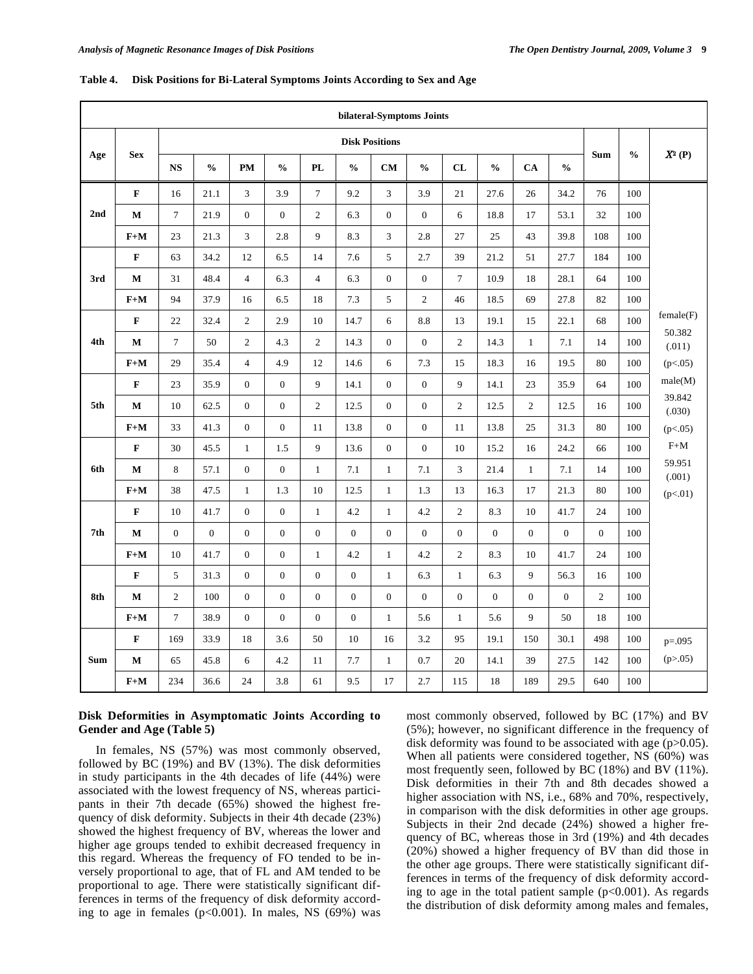|            |              |                  |                |                  |                  |                  |                                    |                       | bilateral-Symptoms Joints |                |                |                  |                  |                |               |                  |
|------------|--------------|------------------|----------------|------------------|------------------|------------------|------------------------------------|-----------------------|---------------------------|----------------|----------------|------------------|------------------|----------------|---------------|------------------|
|            |              |                  |                |                  |                  |                  |                                    | <b>Disk Positions</b> |                           |                |                |                  |                  |                |               |                  |
| Age        | <b>Sex</b>   | <b>NS</b>        | $\frac{0}{0}$  | PM               | $\frac{0}{0}$    | <b>PL</b>        | $\mathbf{0}_{\mathbf{0}}^{\prime}$ | CM                    | $\frac{0}{0}$             | CL             | $\frac{0}{0}$  | CA               | $\frac{0}{0}$    | <b>Sum</b>     | $\frac{0}{0}$ | $X^2(P)$         |
|            | $\mathbf{F}$ | 16               | 21.1           | 3                | 3.9              | $\tau$           | 9.2                                | 3                     | 3.9                       | 21             | 27.6           | 26               | 34.2             | 76             | 100           |                  |
| 2nd        | M            | $\boldsymbol{7}$ | 21.9           | $\mathbf{0}$     | $\boldsymbol{0}$ | $\boldsymbol{2}$ | 6.3                                | $\mathbf{0}$          | $\mathbf{0}$              | 6              | 18.8           | 17               | 53.1             | 32             | 100           |                  |
|            | $F+M$        | 23               | 21.3           | 3                | 2.8              | 9                | 8.3                                | 3                     | 2.8                       | 27             | 25             | 43               | 39.8             | 108            | 100           |                  |
|            | $\mathbf F$  | 63               | 34.2           | 12               | 6.5              | 14               | 7.6                                | 5                     | 2.7                       | 39             | 21.2           | 51               | 27.7             | 184            | 100           |                  |
| 3rd        | M            | 31               | 48.4           | $\overline{4}$   | 6.3              | $\overline{4}$   | 6.3                                | $\mathbf{0}$          | $\mathbf{0}$              | $\tau$         | 10.9           | 18               | 28.1             | 64             | 100           |                  |
|            | $F+M$        | 94               | 37.9           | 16               | 6.5              | 18               | 7.3                                | 5                     | $\overline{2}$            | 46             | 18.5           | 69               | 27.8             | 82             | 100           |                  |
|            | $\mathbf F$  | 22               | 32.4           | $\overline{c}$   | 2.9              | $10\,$           | 14.7                               | 6                     | 8.8                       | 13             | 19.1           | 15               | 22.1             | 68             | 100           | female(F)        |
| 4th        | M            | $\boldsymbol{7}$ | 50             | $\overline{c}$   | 4.3              | $\boldsymbol{2}$ | 14.3                               | $\mathbf{0}$          | $\mathbf{0}$              | $\overline{c}$ | 14.3           | $\mathbf{1}$     | 7.1              | 14             | 100           | 50.382<br>(.011) |
|            | $F+M$        | 29               | 35.4           | $\overline{4}$   | 4.9              | 12               | 14.6                               | 6                     | 7.3                       | 15             | 18.3           | 16               | 19.5             | 80             | 100           | (p<.05)          |
|            | $\mathbf F$  | 23               | 35.9           | $\boldsymbol{0}$ | $\boldsymbol{0}$ | 9                | 14.1                               | $\mathbf{0}$          | $\mathbf{0}$              | 9              | 14.1           | 23               | 35.9             | 64             | 100           | male(M)          |
| 5th        | $\bf M$      | 10               | 62.5           | $\mathbf{0}$     | $\boldsymbol{0}$ | $\overline{c}$   | 12.5                               | $\boldsymbol{0}$      | $\mathbf{0}$              | $\overline{2}$ | 12.5           | $\overline{c}$   | 12.5             | 16             | 100           | 39.842<br>(.030) |
|            | $F+M$        | 33               | 41.3           | $\boldsymbol{0}$ | $\boldsymbol{0}$ | 11               | 13.8                               | $\boldsymbol{0}$      | $\mathbf{0}$              | 11             | 13.8           | 25               | 31.3             | 80             | 100           | (p<.05)          |
|            | $\mathbf F$  | 30               | 45.5           | $\mathbf{1}$     | 1.5              | 9                | 13.6                               | $\boldsymbol{0}$      | $\mathbf{0}$              | 10             | 15.2           | 16               | 24.2             | 66             | 100           | $F+M$            |
| 6th        | $\mathbf{M}$ | 8                | 57.1           | $\boldsymbol{0}$ | $\boldsymbol{0}$ | $\mathbf{1}$     | 7.1                                | $\mathbf{1}$          | 7.1                       | $\overline{3}$ | 21.4           | $\mathbf{1}$     | 7.1              | 14             | 100           | 59.951<br>(.001) |
|            | $F+M$        | 38               | 47.5           | $\mathbf{1}$     | 1.3              | 10               | 12.5                               | $\mathbf{1}$          | 1.3                       | 13             | 16.3           | 17               | 21.3             | 80             | 100           | (p<.01)          |
|            | $\mathbf F$  | 10               | 41.7           | $\boldsymbol{0}$ | $\boldsymbol{0}$ | $\mathbf{1}$     | 4.2                                | $\mathbf{1}$          | 4.2                       | $\overline{c}$ | 8.3            | 10               | 41.7             | 24             | 100           |                  |
| 7th        | $\bf M$      | $\Omega$         | $\overline{0}$ | $\overline{0}$   | $\boldsymbol{0}$ | $\boldsymbol{0}$ | $\overline{0}$                     | $\overline{0}$        | $\Omega$                  | $\Omega$       | $\overline{0}$ | $\overline{0}$   | $\mathbf{0}$     | $\overline{0}$ | 100           |                  |
|            | $F+M$        | 10               | 41.7           | $\boldsymbol{0}$ | $\boldsymbol{0}$ | $\,1$            | 4.2                                | $\mathbf{1}$          | 4.2                       | $\overline{c}$ | 8.3            | 10               | 41.7             | 24             | 100           |                  |
|            | F            | 5                | 31.3           | $\boldsymbol{0}$ | $\mathbf{0}$     | $\boldsymbol{0}$ | $\boldsymbol{0}$                   | $\mathbf{1}$          | 6.3                       | $\mathbf{1}$   | 6.3            | 9                | 56.3             | 16             | 100           |                  |
| 8th        | M            | $\overline{2}$   | 100            | $\boldsymbol{0}$ | $\boldsymbol{0}$ | $\boldsymbol{0}$ | $\boldsymbol{0}$                   | $\boldsymbol{0}$      | $\mathbf{0}$              | $\mathbf{0}$   | $\overline{0}$ | $\boldsymbol{0}$ | $\boldsymbol{0}$ | $\overline{c}$ | 100           |                  |
|            | $F+M$        | $\tau$           | 38.9           | $\boldsymbol{0}$ | $\boldsymbol{0}$ | $\boldsymbol{0}$ | $\boldsymbol{0}$                   | $\mathbf{1}$          | 5.6                       | $\mathbf{1}$   | 5.6            | 9                | 50               | 18             | 100           |                  |
|            | $\mathbf F$  | 169              | 33.9           | 18               | 3.6              | 50               | 10                                 | 16                    | $3.2\,$                   | 95             | 19.1           | 150              | 30.1             | 498            | 100           | $p = 0.095$      |
| <b>Sum</b> | M            | 65               | 45.8           | 6                | 4.2              | 11               | 7.7                                | $\mathbf{1}$          | 0.7                       | 20             | 14.1           | 39               | 27.5             | 142            | 100           | (p > .05)        |
|            | $F+M$        | 234              | 36.6           | 24               | 3.8              | 61               | 9.5                                | 17                    | 2.7                       | 115            | 18             | 189              | 29.5             | 640            | 100           |                  |

#### **Table 4. Disk Positions for Bi-Lateral Symptoms Joints According to Sex and Age**

# **Disk Deformities in Asymptomatic Joints According to Gender and Age (Table 5)**

 In females, NS (57%) was most commonly observed, followed by BC (19%) and BV (13%). The disk deformities in study participants in the 4th decades of life (44%) were associated with the lowest frequency of NS, whereas participants in their 7th decade (65%) showed the highest frequency of disk deformity. Subjects in their 4th decade (23%) showed the highest frequency of BV, whereas the lower and higher age groups tended to exhibit decreased frequency in this regard. Whereas the frequency of FO tended to be inversely proportional to age, that of FL and AM tended to be proportional to age. There were statistically significant differences in terms of the frequency of disk deformity according to age in females (p<0.001). In males, NS (69%) was most commonly observed, followed by BC (17%) and BV (5%); however, no significant difference in the frequency of disk deformity was found to be associated with age  $(p>0.05)$ . When all patients were considered together, NS (60%) was most frequently seen, followed by BC (18%) and BV (11%). Disk deformities in their 7th and 8th decades showed a higher association with NS, i.e., 68% and 70%, respectively, in comparison with the disk deformities in other age groups. Subjects in their 2nd decade (24%) showed a higher frequency of BC, whereas those in 3rd (19%) and 4th decades (20%) showed a higher frequency of BV than did those in the other age groups. There were statistically significant differences in terms of the frequency of disk deformity according to age in the total patient sample  $(p<0.001)$ . As regards the distribution of disk deformity among males and females,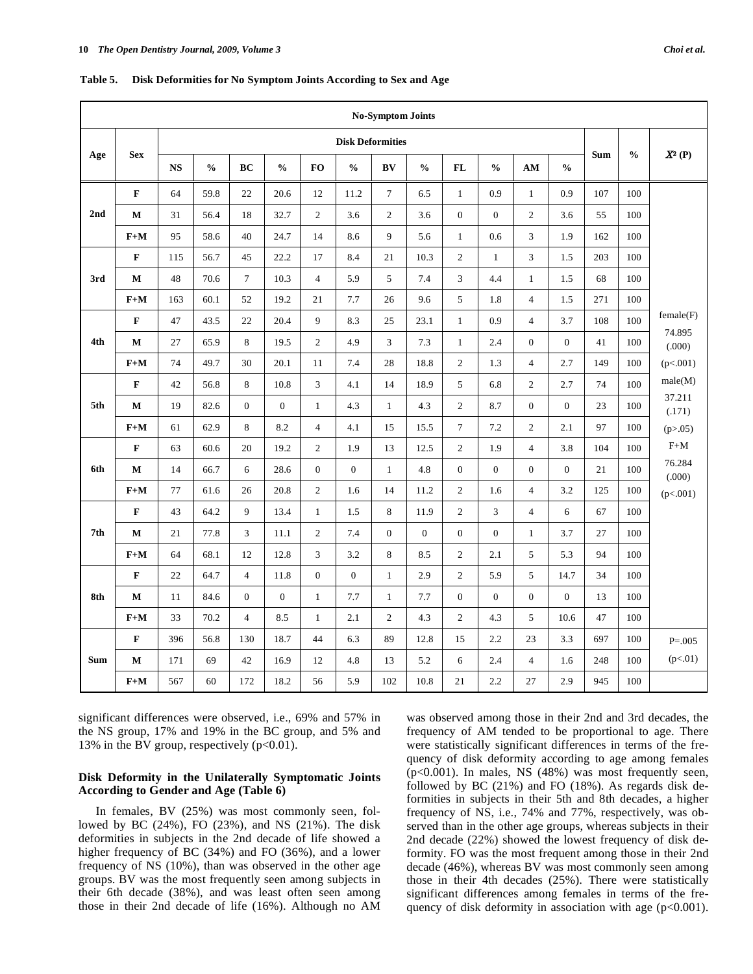|                 |             |           |               |                |                  |                             |                                    | <b>No-Symptom Joints</b> |                |                  |                  |                  |                  |     |               |                  |
|-----------------|-------------|-----------|---------------|----------------|------------------|-----------------------------|------------------------------------|--------------------------|----------------|------------------|------------------|------------------|------------------|-----|---------------|------------------|
|                 |             |           |               |                |                  |                             |                                    | <b>Disk Deformities</b>  |                |                  |                  |                  |                  |     |               |                  |
| Age             | <b>Sex</b>  | <b>NS</b> | $\frac{0}{0}$ | BC             | $\frac{0}{0}$    | <b>FO</b>                   | $\mathbf{0}_{\mathbf{0}}^{\prime}$ | BV                       | $\frac{0}{0}$  | <b>FL</b>        | $\frac{0}{0}$    | AM               | $\frac{0}{0}$    | Sum | $\frac{0}{0}$ | $\pmb{X^2}$ (P)  |
|                 | $\mathbf F$ | 64        | 59.8          | 22             | 20.6             | 12                          | 11.2                               | $\tau$                   | 6.5            | $\mathbf{1}$     | 0.9              | $\mathbf{1}$     | 0.9              | 107 | 100           |                  |
| 2 <sub>nd</sub> | $\mathbf M$ | 31        | 56.4          | 18             | 32.7             | $\overline{c}$              | 3.6                                | $\overline{c}$           | 3.6            | $\overline{0}$   | $\overline{0}$   | $\overline{c}$   | 3.6              | 55  | 100           |                  |
|                 | $F+M$       | 95        | 58.6          | 40             | 24.7             | 14                          | 8.6                                | 9                        | 5.6            | $\mathbf{1}$     | 0.6              | 3                | 1.9              | 162 | 100           |                  |
|                 | $\mathbf F$ | 115       | 56.7          | 45             | 22.2             | 17                          | 8.4                                | 21                       | 10.3           | $\sqrt{2}$       | $\mathbf{1}$     | 3                | 1.5              | 203 | 100           |                  |
| 3rd             | M           | 48        | 70.6          | $\overline{7}$ | 10.3             | $\overline{4}$              | 5.9                                | 5                        | 7.4            | 3                | 4.4              | $\mathbf{1}$     | 1.5              | 68  | 100           |                  |
|                 | $F+M$       | 163       | 60.1          | 52             | 19.2             | 21                          | 7.7                                | 26                       | 9.6            | 5                | 1.8              | $\overline{4}$   | 1.5              | 271 | 100           |                  |
|                 | F           | 47        | 43.5          | 22             | 20.4             | 9                           | 8.3                                | 25                       | 23.1           | $\mathbf{1}$     | 0.9              | $\overline{4}$   | 3.7              | 108 | 100           | female(F)        |
| 4th             | $\mathbf M$ | 27        | 65.9          | 8              | 19.5             | $\boldsymbol{2}$            | 4.9                                | 3                        | 7.3            | $\mathbf{1}$     | 2.4              | $\boldsymbol{0}$ | $\boldsymbol{0}$ | 41  | 100           | 74.895<br>(.000) |
|                 | $F+M$       | 74        | 49.7          | 30             | 20.1             | 11                          | 7.4                                | 28                       | 18.8           | $\overline{2}$   | 1.3              | $\overline{4}$   | 2.7              | 149 | 100           | (p<.001)         |
|                 | $\mathbf F$ | 42        | 56.8          | 8              | 10.8             | $\ensuremath{\mathfrak{Z}}$ | 4.1                                | 14                       | 18.9           | 5                | 6.8              | $\overline{c}$   | 2.7              | 74  | 100           | male(M)          |
| 5th             | M           | 19        | 82.6          | $\mathbf{0}$   | $\boldsymbol{0}$ | $\mathbf{1}$                | 4.3                                | $\mathbf{1}$             | 4.3            | $\overline{2}$   | 8.7              | $\overline{0}$   | $\overline{0}$   | 23  | 100           | 37.211<br>(.171) |
|                 | $F+M$       | 61        | 62.9          | 8              | 8.2              | $\overline{4}$              | 4.1                                | 15                       | 15.5           | $\overline{7}$   | 7.2              | $\sqrt{2}$       | 2.1              | 97  | 100           | (p > .05)        |
|                 | $\mathbf F$ | 63        | 60.6          | 20             | 19.2             | $\overline{c}$              | 1.9                                | 13                       | 12.5           | $\overline{2}$   | 1.9              | $\overline{4}$   | 3.8              | 104 | 100           | $F+M$            |
| 6th             | $\mathbf M$ | 14        | 66.7          | 6              | 28.6             | $\boldsymbol{0}$            | $\boldsymbol{0}$                   | $\mathbf{1}$             | 4.8            | $\boldsymbol{0}$ | $\boldsymbol{0}$ | $\boldsymbol{0}$ | $\boldsymbol{0}$ | 21  | 100           | 76.284<br>(.000) |
|                 | $F+M$       | 77        | 61.6          | 26             | 20.8             | $\overline{c}$              | 1.6                                | 14                       | 11.2           | $\mathbf{2}$     | 1.6              | $\overline{4}$   | 3.2              | 125 | 100           | (p<.001)         |
|                 | $\mathbf F$ | 43        | 64.2          | 9              | 13.4             | $\,1$                       | 1.5                                | 8                        | 11.9           | $\overline{c}$   | 3                | $\overline{4}$   | 6                | 67  | 100           |                  |
| 7th             | $\bf M$     | 21        | 77.8          | 3              | 11.1             | $\overline{c}$              | 7.4                                | $\overline{0}$           | $\overline{0}$ | $\overline{0}$   | $\overline{0}$   | $\mathbf{1}$     | 3.7              | 27  | 100           |                  |
|                 | $F+M$       | 64        | 68.1          | 12             | 12.8             | 3                           | 3.2                                | $\,8\,$                  | 8.5            | $\mathfrak{2}$   | 2.1              | 5                | 5.3              | 94  | 100           |                  |
|                 | $\mathbf F$ | 22        | 64.7          | $\overline{4}$ | 11.8             | $\boldsymbol{0}$            | $\boldsymbol{0}$                   | $\mathbf{1}$             | 2.9            | $\overline{c}$   | 5.9              | $\sqrt{5}$       | 14.7             | 34  | 100           |                  |
| 8th             | $\mathbf M$ | 11        | 84.6          | $\mathbf{0}$   | $\boldsymbol{0}$ | $\mathbf{1}$                | 7.7                                | $\mathbf{1}$             | 7.7            | $\mathbf{0}$     | $\boldsymbol{0}$ | $\mathbf{0}$     | $\boldsymbol{0}$ | 13  | 100           |                  |
|                 | $F+M$       | 33        | 70.2          | $\overline{4}$ | 8.5              | $\mathbf{1}$                | 2.1                                | $\overline{c}$           | 4.3            | $\mathbf{2}$     | 4.3              | 5                | 10.6             | 47  | 100           |                  |
|                 | $\mathbf F$ | 396       | 56.8          | 130            | 18.7             | 44                          | 6.3                                | 89                       | 12.8           | 15               | 2.2              | 23               | 3.3              | 697 | 100           | $P = 0.005$      |
| <b>Sum</b>      | $\mathbf M$ | 171       | 69            | 42             | 16.9             | 12                          | 4.8                                | 13                       | 5.2            | $\epsilon$       | 2.4              | $\overline{4}$   | 1.6              | 248 | 100           | (p<.01)          |
|                 | $F+M$       | 567       | 60            | 172            | 18.2             | 56                          | 5.9                                | 102                      | 10.8           | 21               | 2.2              | 27               | 2.9              | 945 | 100           |                  |

**Table 5. Disk Deformities for No Symptom Joints According to Sex and Age** 

significant differences were observed, i.e., 69% and 57% in the NS group, 17% and 19% in the BC group, and 5% and 13% in the BV group, respectively  $(p<0.01)$ .

# **Disk Deformity in the Unilaterally Symptomatic Joints According to Gender and Age (Table 6)**

 In females, BV (25%) was most commonly seen, followed by BC (24%), FO (23%), and NS (21%). The disk deformities in subjects in the 2nd decade of life showed a higher frequency of BC (34%) and FO (36%), and a lower frequency of NS (10%), than was observed in the other age groups. BV was the most frequently seen among subjects in their 6th decade (38%), and was least often seen among those in their 2nd decade of life (16%). Although no AM was observed among those in their 2nd and 3rd decades, the frequency of AM tended to be proportional to age. There were statistically significant differences in terms of the frequency of disk deformity according to age among females  $(p<0.001)$ . In males, NS (48%) was most frequently seen, followed by BC (21%) and FO (18%). As regards disk deformities in subjects in their 5th and 8th decades, a higher frequency of NS, i.e., 74% and 77%, respectively, was observed than in the other age groups, whereas subjects in their 2nd decade (22%) showed the lowest frequency of disk deformity. FO was the most frequent among those in their 2nd decade (46%), whereas BV was most commonly seen among those in their 4th decades (25%). There were statistically significant differences among females in terms of the frequency of disk deformity in association with age  $(p<0.001)$ .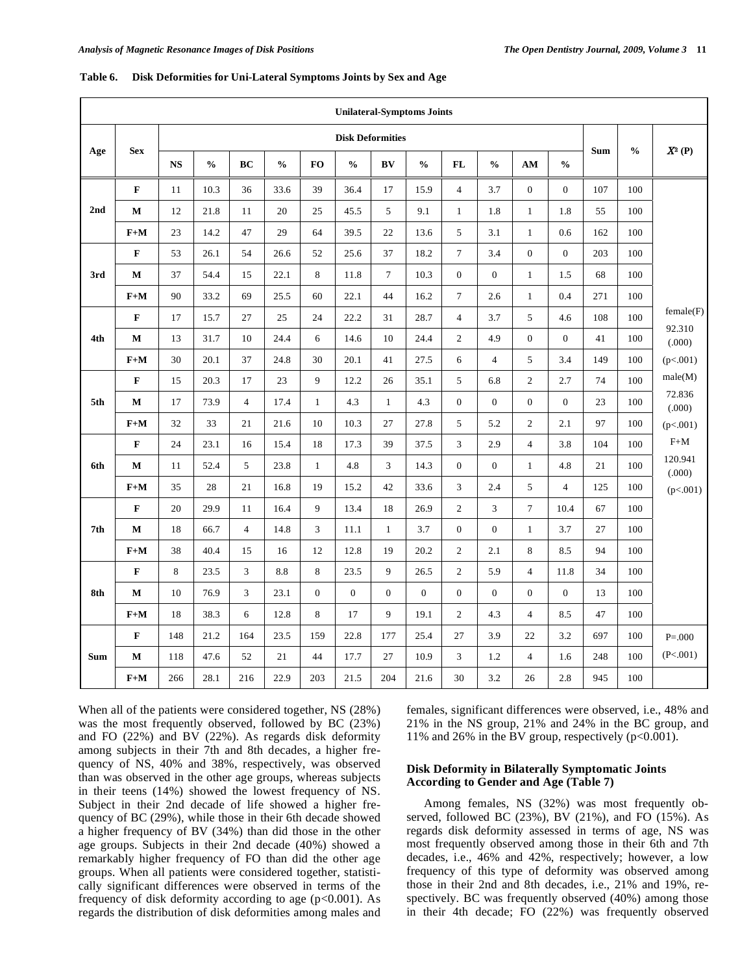|            |             |           |               |                |               |                | <b>Unilateral-Symptoms Joints</b>  |                  |                  |                |                  |                  |                  |     |               |                   |
|------------|-------------|-----------|---------------|----------------|---------------|----------------|------------------------------------|------------------|------------------|----------------|------------------|------------------|------------------|-----|---------------|-------------------|
|            |             |           |               |                |               |                | <b>Disk Deformities</b>            |                  |                  |                |                  |                  |                  |     |               |                   |
| Age        | <b>Sex</b>  | <b>NS</b> | $\frac{0}{0}$ | BC             | $\frac{0}{0}$ | <b>FO</b>      | $\mathbf{0}_{\mathbf{0}}^{\prime}$ | BV               | $\frac{0}{0}$    | <b>FL</b>      | $\frac{0}{0}$    | AM               | $\frac{0}{0}$    | Sum | $\frac{0}{0}$ | $X^2(P)$          |
|            | $\mathbf F$ | 11        | 10.3          | 36             | 33.6          | 39             | 36.4                               | 17               | 15.9             | $\overline{4}$ | 3.7              | $\overline{0}$   | $\mathbf{0}$     | 107 | 100           |                   |
| 2nd        | $\mathbf M$ | 12        | 21.8          | 11             | 20            | 25             | 45.5                               | 5                | 9.1              | $\mathbf{1}$   | 1.8              | $\mathbf{1}$     | 1.8              | 55  | 100           |                   |
|            | $F+M$       | 23        | 14.2          | 47             | 29            | 64             | 39.5                               | 22               | 13.6             | 5              | 3.1              | $\mathbf{1}$     | 0.6              | 162 | 100           |                   |
|            | $\mathbf F$ | 53        | 26.1          | 54             | 26.6          | 52             | 25.6                               | 37               | 18.2             | $\overline{7}$ | 3.4              | $\theta$         | $\mathbf{0}$     | 203 | 100           |                   |
| 3rd        | M           | 37        | 54.4          | 15             | 22.1          | 8              | 11.8                               | $\tau$           | 10.3             | $\mathbf{0}$   | $\boldsymbol{0}$ | $\mathbf{1}$     | 1.5              | 68  | 100           |                   |
|            | $F+M$       | 90        | 33.2          | 69             | 25.5          | 60             | 22.1                               | 44               | 16.2             | $\overline{7}$ | 2.6              | $\mathbf{1}$     | 0.4              | 271 | 100           |                   |
|            | $\mathbf F$ | 17        | 15.7          | 27             | 25            | 24             | 22.2                               | 31               | 28.7             | $\overline{4}$ | 3.7              | 5                | 4.6              | 108 | 100           | female(F)         |
| 4th        | M           | 13        | 31.7          | 10             | 24.4          | $\sqrt{6}$     | 14.6                               | 10               | 24.4             | $\overline{c}$ | 4.9              | $\boldsymbol{0}$ | $\boldsymbol{0}$ | 41  | 100           | 92.310<br>(.000)  |
|            | $F+M$       | 30        | 20.1          | 37             | 24.8          | 30             | 20.1                               | 41               | 27.5             | 6              | $\overline{4}$   | 5                | 3.4              | 149 | 100           | (p<.001)          |
|            | $\mathbf F$ | 15        | 20.3          | 17             | 23            | $\overline{9}$ | 12.2                               | 26               | 35.1             | 5              | 6.8              | $\overline{2}$   | 2.7              | 74  | 100           | male(M)           |
| 5th        | M           | 17        | 73.9          | $\overline{4}$ | 17.4          | $\mathbf{1}$   | 4.3                                | $\mathbf{1}$     | 4.3              | $\overline{0}$ | $\boldsymbol{0}$ | $\theta$         | $\mathbf{0}$     | 23  | 100           | 72.836<br>(.000)  |
|            | $F+M$       | 32        | 33            | 21             | 21.6          | 10             | 10.3                               | 27               | 27.8             | 5              | 5.2              | $\overline{2}$   | 2.1              | 97  | 100           | (p<.001)          |
|            | $\mathbf F$ | 24        | 23.1          | 16             | 15.4          | 18             | 17.3                               | 39               | 37.5             | 3              | 2.9              | $\overline{4}$   | 3.8              | 104 | 100           | $F+M$             |
| 6th        | M           | 11        | 52.4          | 5              | 23.8          | $\mathbf{1}$   | 4.8                                | 3                | 14.3             | $\overline{0}$ | $\boldsymbol{0}$ | $\mathbf{1}$     | 4.8              | 21  | 100           | 120.941<br>(.000) |
|            | $F+M$       | 35        | 28            | 21             | 16.8          | 19             | 15.2                               | 42               | 33.6             | 3              | 2.4              | 5                | $\overline{4}$   | 125 | 100           | (p<.001)          |
|            | $\mathbf F$ | 20        | 29.9          | 11             | 16.4          | 9              | 13.4                               | 18               | 26.9             | $\overline{c}$ | 3                | $\overline{7}$   | 10.4             | 67  | 100           |                   |
| 7th        | M           | 18        | 66.7          | $\overline{4}$ | 14.8          | 3              | 11.1                               | $\mathbf{1}$     | 3.7              | $\overline{0}$ | $\mathbf{0}$     | $\mathbf{1}$     | 3.7              | 27  | 100           |                   |
|            | $F+M$       | 38        | 40.4          | 15             | 16            | 12             | 12.8                               | 19               | 20.2             | $\overline{c}$ | 2.1              | 8                | 8.5              | 94  | 100           |                   |
|            | $\mathbf F$ | 8         | 23.5          | 3              | 8.8           | $\,8\,$        | 23.5                               | 9                | 26.5             | $\overline{c}$ | 5.9              | $\overline{4}$   | 11.8             | 34  | 100           |                   |
| 8th        | M           | 10        | 76.9          | 3              | 23.1          | $\mathbf{0}$   | $\boldsymbol{0}$                   | $\boldsymbol{0}$ | $\boldsymbol{0}$ | $\overline{0}$ | $\boldsymbol{0}$ | $\mathbf{0}$     | $\mathbf{0}$     | 13  | 100           |                   |
|            | $F+M$       | 18        | 38.3          | 6              | 12.8          | 8              | 17                                 | 9                | 19.1             | $\overline{c}$ | 4.3              | $\overline{4}$   | 8.5              | 47  | 100           |                   |
|            | $\mathbf F$ | 148       | 21.2          | 164            | 23.5          | 159            | 22.8                               | 177              | 25.4             | 27             | 3.9              | 22               | 3.2              | 697 | 100           | $P = 000$         |
| <b>Sum</b> | M           | 118       | 47.6          | 52             | 21            | 44             | 17.7                               | 27               | 10.9             | 3              | 1.2              | $\overline{4}$   | 1.6              | 248 | 100           | (P<.001)          |
|            | $F+M$       | 266       | 28.1          | 216            | 22.9          | 203            | 21.5                               | 204              | 21.6             | 30             | 3.2              | 26               | 2.8              | 945 | 100           |                   |

**Table 6. Disk Deformities for Uni-Lateral Symptoms Joints by Sex and Age** 

When all of the patients were considered together, NS (28%) was the most frequently observed, followed by BC (23%) and FO (22%) and BV (22%). As regards disk deformity among subjects in their 7th and 8th decades, a higher frequency of NS, 40% and 38%, respectively, was observed than was observed in the other age groups, whereas subjects in their teens (14%) showed the lowest frequency of NS. Subject in their 2nd decade of life showed a higher frequency of BC (29%), while those in their 6th decade showed a higher frequency of BV (34%) than did those in the other age groups. Subjects in their 2nd decade (40%) showed a remarkably higher frequency of FO than did the other age groups. When all patients were considered together, statistically significant differences were observed in terms of the frequency of disk deformity according to age  $(p<0.001)$ . As regards the distribution of disk deformities among males and

females, significant differences were observed, i.e., 48% and 21% in the NS group, 21% and 24% in the BC group, and 11% and 26% in the BV group, respectively (p<0.001).

# **Disk Deformity in Bilaterally Symptomatic Joints According to Gender and Age (Table 7)**

 Among females, NS (32%) was most frequently observed, followed BC (23%), BV (21%), and FO (15%). As regards disk deformity assessed in terms of age, NS was most frequently observed among those in their 6th and 7th decades, i.e., 46% and 42%, respectively; however, a low frequency of this type of deformity was observed among those in their 2nd and 8th decades, i.e., 21% and 19%, respectively. BC was frequently observed (40%) among those in their 4th decade; FO (22%) was frequently observed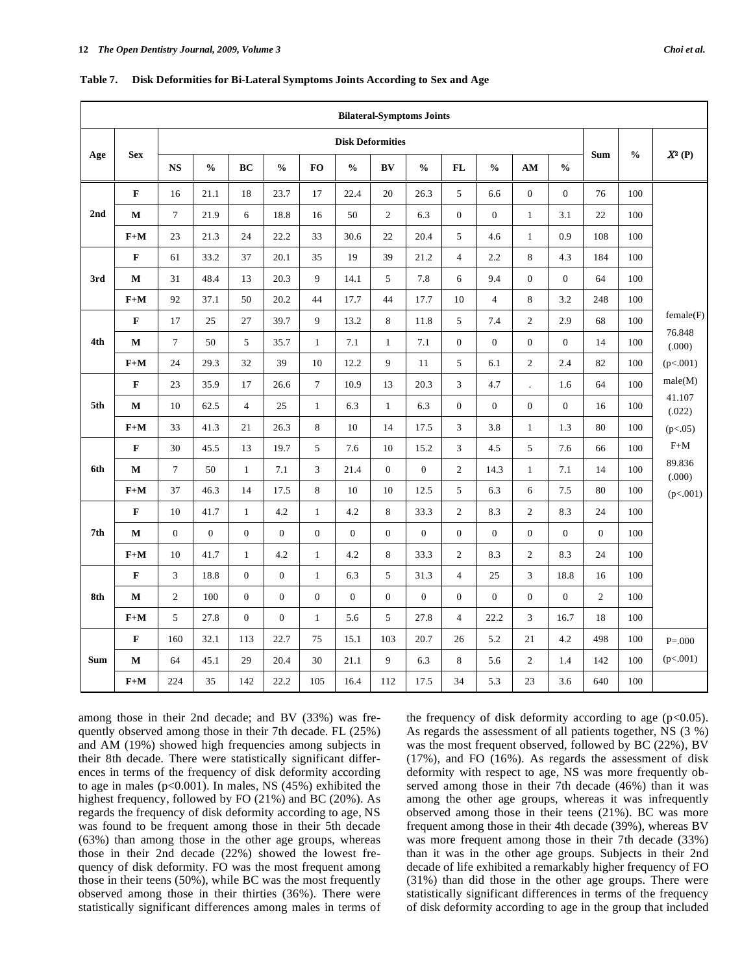|            |             |                  |                  |                  |                  |                  |                  | <b>Bilateral-Symptoms Joints</b> |                |                |                  |                  |                  |                  |               |                  |
|------------|-------------|------------------|------------------|------------------|------------------|------------------|------------------|----------------------------------|----------------|----------------|------------------|------------------|------------------|------------------|---------------|------------------|
|            | <b>Sex</b>  |                  |                  |                  |                  |                  |                  | <b>Disk Deformities</b>          |                |                |                  |                  |                  | <b>Sum</b>       | $\frac{0}{0}$ | $X^2(P)$         |
| Age        |             | <b>NS</b>        | $\frac{0}{0}$    | BC               | $\frac{0}{0}$    | <b>FO</b>        | $\frac{0}{0}$    | BV                               | $\frac{0}{0}$  | <b>FL</b>      | $\frac{0}{0}$    | AM               | $\frac{0}{0}$    |                  |               |                  |
|            | $\mathbf F$ | 16               | 21.1             | 18               | 23.7             | 17               | 22.4             | 20                               | 26.3           | 5              | 6.6              | $\boldsymbol{0}$ | $\boldsymbol{0}$ | 76               | 100           |                  |
| 2nd        | M           | $\boldsymbol{7}$ | 21.9             | 6                | 18.8             | 16               | 50               | $\overline{2}$                   | 6.3            | $\overline{0}$ | $\overline{0}$   | $\mathbf{1}$     | 3.1              | 22               | 100           |                  |
|            | $F+M$       | 23               | 21.3             | 24               | 22.2             | 33               | 30.6             | 22                               | 20.4           | 5              | 4.6              | $\mathbf{1}$     | 0.9              | 108              | 100           |                  |
|            | $\mathbf F$ | 61               | 33.2             | 37               | 20.1             | 35               | 19               | 39                               | 21.2           | $\overline{4}$ | 2.2              | 8                | 4.3              | 184              | 100           |                  |
| 3rd        | $\mathbf M$ | 31               | 48.4             | 13               | 20.3             | 9                | 14.1             | 5                                | 7.8            | 6              | 9.4              | $\boldsymbol{0}$ | $\overline{0}$   | 64               | 100           |                  |
|            | $F+M$       | 92               | 37.1             | 50               | 20.2             | 44               | 17.7             | 44                               | 17.7           | 10             | $\overline{4}$   | 8                | 3.2              | 248              | 100           |                  |
|            | $\mathbf F$ | 17               | 25               | 27               | 39.7             | 9                | 13.2             | 8                                | 11.8           | 5              | 7.4              | $\overline{2}$   | 2.9              | 68               | 100           | female(F)        |
| 4th        | M           | $\overline{7}$   | 50               | 5                | 35.7             | $\mathbf{1}$     | 7.1              | $\mathbf{1}$                     | 7.1            | $\overline{0}$ | $\boldsymbol{0}$ | $\boldsymbol{0}$ | $\overline{0}$   | 14               | 100           | 76.848<br>(.000) |
|            | $F+M$       | 24               | 29.3             | 32               | 39               | 10               | 12.2             | 9                                | 11             | 5              | 6.1              | $\sqrt{2}$       | 2.4              | 82               | 100           | (p<.001)         |
|            | $\mathbf F$ | 23               | 35.9             | 17               | 26.6             | $\tau$           | 10.9             | 13                               | 20.3           | 3              | 4.7              |                  | 1.6              | 64               | 100           | male(M)          |
| 5th        | M           | 10               | 62.5             | $\overline{4}$   | 25               | $\mathbf{1}$     | 6.3              | $\mathbf{1}$                     | 6.3            | $\overline{0}$ | $\overline{0}$   | $\overline{0}$   | $\overline{0}$   | 16               | 100           | 41.107<br>(.022) |
|            | $F+M$       | 33               | 41.3             | 21               | 26.3             | 8                | 10               | 14                               | 17.5           | 3              | 3.8              | $\mathbf{1}$     | 1.3              | 80               | 100           | (p<.05)          |
|            | $\mathbf F$ | 30               | 45.5             | 13               | 19.7             | 5                | 7.6              | 10                               | 15.2           | $\overline{3}$ | 4.5              | 5                | 7.6              | 66               | 100           | $F+M$            |
| 6th        | $\mathbf M$ | $\boldsymbol{7}$ | 50               | $\mathbf{1}$     | 7.1              | $\mathfrak{Z}$   | 21.4             | $\boldsymbol{0}$                 | $\mathbf{0}$   | $\overline{c}$ | 14.3             | $\mathbf{1}$     | $7.1\,$          | 14               | 100           | 89.836<br>(.000) |
|            | $F+M$       | 37               | 46.3             | 14               | 17.5             | $\,8\,$          | 10               | 10                               | 12.5           | 5              | 6.3              | 6                | 7.5              | 80               | 100           | (p<.001)         |
|            | $\mathbf F$ | 10               | 41.7             | $\mathbf{1}$     | 4.2              | $\mathbf{1}$     | 4.2              | $\,8\,$                          | 33.3           | 2              | 8.3              | $\overline{2}$   | 8.3              | 24               | 100           |                  |
| 7th        | $\mathbf M$ | $\boldsymbol{0}$ | $\boldsymbol{0}$ | $\boldsymbol{0}$ | $\boldsymbol{0}$ | $\boldsymbol{0}$ | $\boldsymbol{0}$ | $\boldsymbol{0}$                 | $\overline{0}$ | $\overline{0}$ | $\overline{0}$   | $\boldsymbol{0}$ | $\boldsymbol{0}$ | $\boldsymbol{0}$ | 100           |                  |
|            | $F+M$       | 10               | 41.7             | $\mathbf{1}$     | 4.2              | $\mathbf{1}$     | 4.2              | $\,8\,$                          | 33.3           | $\overline{c}$ | 8.3              | $\overline{2}$   | 8.3              | 24               | 100           |                  |
|            | $\mathbf F$ | 3                | 18.8             | $\overline{0}$   | $\boldsymbol{0}$ | $\mathbf{1}$     | 6.3              | $\sqrt{5}$                       | 31.3           | $\overline{4}$ | 25               | 3                | 18.8             | 16               | 100           |                  |
| 8th        | $\mathbf M$ | $\overline{c}$   | 100              | $\overline{0}$   | $\boldsymbol{0}$ | $\boldsymbol{0}$ | $\boldsymbol{0}$ | $\boldsymbol{0}$                 | $\overline{0}$ | $\mathbf{0}$   | $\overline{0}$   | $\overline{0}$   | $\overline{0}$   | $\mathbf{2}$     | 100           |                  |
|            | $F+M$       | 5                | 27.8             | $\overline{0}$   | $\boldsymbol{0}$ | $\mathbf{1}$     | 5.6              | 5                                | 27.8           | $\overline{4}$ | 22.2             | 3                | 16.7             | 18               | 100           |                  |
|            | $\mathbf F$ | 160              | 32.1             | 113              | 22.7             | 75               | 15.1             | 103                              | 20.7           | 26             | 5.2              | 21               | 4.2              | 498              | 100           | $P = 000$        |
| <b>Sum</b> | $\mathbf M$ | 64               | 45.1             | 29               | 20.4             | 30               | 21.1             | 9                                | 6.3            | 8              | 5.6              | $\overline{2}$   | 1.4              | 142              | 100           | (p<.001)         |
|            | $F+M$       | 224              | 35               | 142              | 22.2             | 105              | 16.4             | 112                              | 17.5           | 34             | 5.3              | 23               | 3.6              | 640              | 100           |                  |

**Table 7. Disk Deformities for Bi-Lateral Symptoms Joints According to Sex and Age** 

among those in their 2nd decade; and BV (33%) was frequently observed among those in their 7th decade. FL (25%) and AM (19%) showed high frequencies among subjects in their 8th decade. There were statistically significant differences in terms of the frequency of disk deformity according to age in males ( $p<0.001$ ). In males, NS (45%) exhibited the highest frequency, followed by FO (21%) and BC (20%). As regards the frequency of disk deformity according to age, NS was found to be frequent among those in their 5th decade (63%) than among those in the other age groups, whereas those in their 2nd decade (22%) showed the lowest frequency of disk deformity. FO was the most frequent among those in their teens (50%), while BC was the most frequently observed among those in their thirties (36%). There were statistically significant differences among males in terms of

the frequency of disk deformity according to age  $(p<0.05)$ . As regards the assessment of all patients together, NS (3 %) was the most frequent observed, followed by BC (22%), BV (17%), and FO (16%). As regards the assessment of disk deformity with respect to age, NS was more frequently observed among those in their 7th decade (46%) than it was among the other age groups, whereas it was infrequently observed among those in their teens (21%). BC was more frequent among those in their 4th decade (39%), whereas BV was more frequent among those in their 7th decade (33%) than it was in the other age groups. Subjects in their 2nd decade of life exhibited a remarkably higher frequency of FO (31%) than did those in the other age groups. There were statistically significant differences in terms of the frequency of disk deformity according to age in the group that included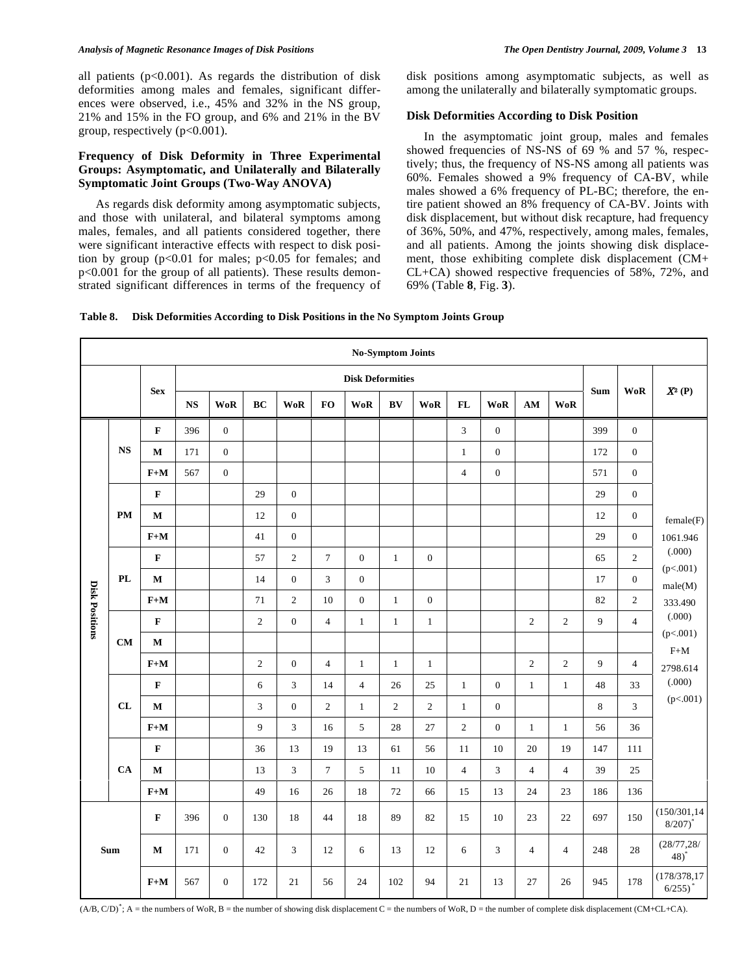## *Analysis of Magnetic Resonance Images of Disk Positions The Open Dentistry Journal, 2009, Volume 3* **13**

all patients  $(p<0.001)$ . As regards the distribution of disk deformities among males and females, significant differences were observed, i.e., 45% and 32% in the NS group, 21% and 15% in the FO group, and 6% and 21% in the BV group, respectively (p<0.001).

# **Frequency of Disk Deformity in Three Experimental Groups: Asymptomatic, and Unilaterally and Bilaterally Symptomatic Joint Groups (Two-Way ANOVA)**

 As regards disk deformity among asymptomatic subjects, and those with unilateral, and bilateral symptoms among males, females, and all patients considered together, there were significant interactive effects with respect to disk position by group ( $p<0.01$  for males;  $p<0.05$  for females; and p<0.001 for the group of all patients). These results demonstrated significant differences in terms of the frequency of disk positions among asymptomatic subjects, as well as among the unilaterally and bilaterally symptomatic groups.

## **Disk Deformities According to Disk Position**

 In the asymptomatic joint group, males and females showed frequencies of NS-NS of 69 % and 57 %, respectively; thus, the frequency of NS-NS among all patients was 60%. Females showed a 9% frequency of CA-BV, while males showed a 6% frequency of PL-BC; therefore, the entire patient showed an 8% frequency of CA-BV. Joints with disk displacement, but without disk recapture, had frequency of 36%, 50%, and 47%, respectively, among males, females, and all patients. Among the joints showing disk displacement, those exhibiting complete disk displacement (CM+ CL+CA) showed respective frequencies of 58%, 72%, and 69% (Table **8**, Fig. **3**).

| Table 8. Disk Deformities According to Disk Positions in the No Symptom Joints Group |  |
|--------------------------------------------------------------------------------------|--|
|--------------------------------------------------------------------------------------|--|

|                       |            |                         |           |                  |                |                  |                 |                         | <b>No-Symptom Joints</b> |              |                |                  |                |                |            |                  |                                        |
|-----------------------|------------|-------------------------|-----------|------------------|----------------|------------------|-----------------|-------------------------|--------------------------|--------------|----------------|------------------|----------------|----------------|------------|------------------|----------------------------------------|
|                       |            |                         |           |                  |                |                  |                 | <b>Disk Deformities</b> |                          |              |                |                  |                |                |            |                  |                                        |
|                       |            | <b>Sex</b>              | <b>NS</b> | <b>WoR</b>       | BC             | <b>WoR</b>       | <b>FO</b>       | $\mathbf{WoR}$          | BV                       | <b>WoR</b>   | FL             | <b>WoR</b>       | $AM$           | <b>WoR</b>     | <b>Sum</b> | <b>WoR</b>       | $X^2(P)$                               |
|                       |            | F                       | 396       | $\mathbf{0}$     |                |                  |                 |                         |                          |              | $\overline{3}$ | $\mathbf{0}$     |                |                | 399        | $\mathbf{0}$     |                                        |
|                       | <b>NS</b>  | $\mathbf M$             | 171       | $\boldsymbol{0}$ |                |                  |                 |                         |                          |              | $\mathbf{1}$   | $\boldsymbol{0}$ |                |                | 172        | $\boldsymbol{0}$ |                                        |
|                       |            | $F+M$                   | 567       | $\boldsymbol{0}$ |                |                  |                 |                         |                          |              | $\overline{4}$ | $\boldsymbol{0}$ |                |                | 571        | $\boldsymbol{0}$ |                                        |
|                       |            | $\mathbf F$             |           |                  | 29             | $\boldsymbol{0}$ |                 |                         |                          |              |                |                  |                |                | 29         | $\boldsymbol{0}$ |                                        |
|                       | <b>PM</b>  | $\mathbf M$             |           |                  | 12             | $\boldsymbol{0}$ |                 |                         |                          |              |                |                  |                |                | 12         | $\boldsymbol{0}$ | female(F)                              |
|                       |            | $F+M$                   |           |                  | 41             | $\boldsymbol{0}$ |                 |                         |                          |              |                |                  |                |                | 29         | $\mathbf{0}$     | 1061.946                               |
|                       |            | $\mathbf F$             |           |                  | 57             | $\overline{c}$   | $\overline{7}$  | $\mathbf{0}$            | $\mathbf{1}$             | $\mathbf{0}$ |                |                  |                |                | 65         | $\overline{c}$   | (.000)                                 |
|                       | ${\bf PL}$ | $\mathbf M$             |           |                  | 14             | $\boldsymbol{0}$ | 3               | $\boldsymbol{0}$        |                          |              |                |                  |                |                | 17         | $\mathbf{0}$     | (p<.001)<br>male(M)                    |
| <b>Disk Positions</b> |            | $\mathbf{F}+\mathbf{M}$ |           |                  | 71             | $\overline{c}$   | 10              | $\boldsymbol{0}$        | $1\,$                    | $\mathbf{0}$ |                |                  |                |                | 82         | $\overline{c}$   | 333.490                                |
|                       |            | $\mathbf{F}$            |           |                  | $\overline{2}$ | $\mathbf{0}$     | $\overline{4}$  | $\mathbf{1}$            | $\mathbf{1}$             | $\mathbf{1}$ |                |                  | $\overline{2}$ | $\overline{c}$ | 9          | $\overline{4}$   | (.000)                                 |
|                       | <b>CM</b>  | $\mathbf M$             |           |                  |                |                  |                 |                         |                          |              |                |                  |                |                |            |                  | (p<.001)<br>$F+M$                      |
|                       |            | $\mathbf{F}+\mathbf{M}$ |           |                  | $\overline{2}$ | $\boldsymbol{0}$ | $\overline{4}$  | $\mathbf{1}$            | $\mathbf{1}$             | $\mathbf{1}$ |                |                  | $\sqrt{2}$     | $\overline{c}$ | 9          | $\overline{4}$   | 2798.614                               |
|                       |            | $\mathbf F$             |           |                  | 6              | 3                | 14              | $\overline{4}$          | 26                       | 25           | $\mathbf{1}$   | $\mathbf{0}$     | $\mathbf{1}$   | $\mathbf{1}$   | 48         | 33               | (.000)                                 |
|                       | CL         | $\mathbf M$             |           |                  | 3              | $\boldsymbol{0}$ | $\mathfrak{2}$  | $\mathbf{1}$            | $\mathbf{2}$             | 2            | $\mathbf{1}$   | $\mathbf{0}$     |                |                | $\,8\,$    | 3                | (p<.001)                               |
|                       |            | $F+M$                   |           |                  | $\overline{9}$ | 3                | 16              | 5                       | 28                       | 27           | $\overline{2}$ | $\mathbf{0}$     | $\mathbf{1}$   | $\mathbf{1}$   | 56         | 36               |                                        |
|                       |            | $\mathbf F$             |           |                  | 36             | 13               | 19              | 13                      | 61                       | 56           | 11             | 10               | $20\,$         | 19             | 147        | 111              |                                        |
|                       | CA         | $\mathbf M$             |           |                  | 13             | 3                | $7\overline{ }$ | 5                       | 11                       | 10           | $\overline{4}$ | 3                | $\overline{4}$ | $\overline{4}$ | 39         | $25\,$           |                                        |
|                       |            | $\mathbf{F}+\mathbf{M}$ |           |                  | 49             | 16               | 26              | 18                      | 72                       | 66           | 15             | 13               | 24             | 23             | 186        | 136              |                                        |
|                       |            | $\mathbf F$             | 396       | $\boldsymbol{0}$ | 130            | 18               | 44              | 18                      | 89                       | 82           | 15             | 10               | $23\,$         | 22             | 697        | 150              | (150/301, 14)<br>$8/207$ <sup>*</sup>  |
|                       | Sum        | М                       | 171       | $\boldsymbol{0}$ | 42             | 3                | 12              | 6                       | 13                       | 12           | 6              | 3                | $\overline{4}$ | 4              | 248        | $28\,$           | (28/77, 28/<br>$48)$ <sup>*</sup>      |
|                       |            | $F+M$                   | 567       | $\boldsymbol{0}$ | 172            | 21               | 56              | 24                      | 102                      | 94           | 21             | 13               | 27             | 26             | 945        | 178              | (178/378, 17)<br>$6/255)$ <sup>*</sup> |

 $(A/B, C/D)^*$ ; A = the numbers of WoR, B = the number of showing disk displacement C = the numbers of WoR, D = the number of complete disk displacement (CM+CL+CA).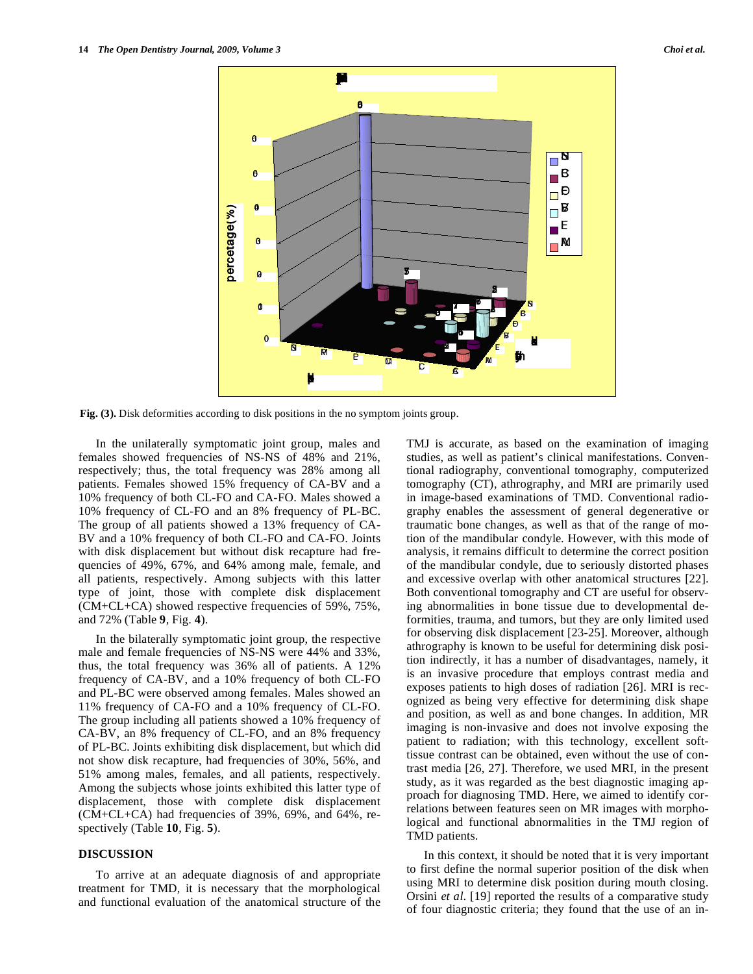

**Fig. (3).** Disk deformities according to disk positions in the no symptom joints group.

 In the unilaterally symptomatic joint group, males and females showed frequencies of NS-NS of 48% and 21%, respectively; thus, the total frequency was 28% among all patients. Females showed 15% frequency of CA-BV and a 10% frequency of both CL-FO and CA-FO. Males showed a 10% frequency of CL-FO and an 8% frequency of PL-BC. The group of all patients showed a 13% frequency of CA-BV and a 10% frequency of both CL-FO and CA-FO. Joints with disk displacement but without disk recapture had frequencies of 49%, 67%, and 64% among male, female, and all patients, respectively. Among subjects with this latter type of joint, those with complete disk displacement (CM+CL+CA) showed respective frequencies of 59%, 75%, and 72% (Table **9**, Fig. **4**).

 In the bilaterally symptomatic joint group, the respective male and female frequencies of NS-NS were 44% and 33%, thus, the total frequency was 36% all of patients. A 12% frequency of CA-BV, and a 10% frequency of both CL-FO and PL-BC were observed among females. Males showed an 11% frequency of CA-FO and a 10% frequency of CL-FO. The group including all patients showed a 10% frequency of CA-BV, an 8% frequency of CL-FO, and an 8% frequency of PL-BC. Joints exhibiting disk displacement, but which did not show disk recapture, had frequencies of 30%, 56%, and 51% among males, females, and all patients, respectively. Among the subjects whose joints exhibited this latter type of displacement, those with complete disk displacement (CM+CL+CA) had frequencies of 39%, 69%, and 64%, respectively (Table **10**, Fig. **5**).

## **DISCUSSION**

 To arrive at an adequate diagnosis of and appropriate treatment for TMD, it is necessary that the morphological and functional evaluation of the anatomical structure of the TMJ is accurate, as based on the examination of imaging studies, as well as patient's clinical manifestations. Conventional radiography, conventional tomography, computerized tomography (CT), athrography, and MRI are primarily used in image-based examinations of TMD. Conventional radiography enables the assessment of general degenerative or traumatic bone changes, as well as that of the range of motion of the mandibular condyle. However, with this mode of analysis, it remains difficult to determine the correct position of the mandibular condyle, due to seriously distorted phases and excessive overlap with other anatomical structures [22]. Both conventional tomography and CT are useful for observing abnormalities in bone tissue due to developmental deformities, trauma, and tumors, but they are only limited used for observing disk displacement [23-25]. Moreover, although athrography is known to be useful for determining disk position indirectly, it has a number of disadvantages, namely, it is an invasive procedure that employs contrast media and exposes patients to high doses of radiation [26]. MRI is recognized as being very effective for determining disk shape and position, as well as and bone changes. In addition, MR imaging is non-invasive and does not involve exposing the patient to radiation; with this technology, excellent softtissue contrast can be obtained, even without the use of contrast media [26, 27]. Therefore, we used MRI, in the present study, as it was regarded as the best diagnostic imaging approach for diagnosing TMD. Here, we aimed to identify correlations between features seen on MR images with morphological and functional abnormalities in the TMJ region of TMD patients.

 In this context, it should be noted that it is very important to first define the normal superior position of the disk when using MRI to determine disk position during mouth closing. Orsini *et al*. [19] reported the results of a comparative study of four diagnostic criteria; they found that the use of an in-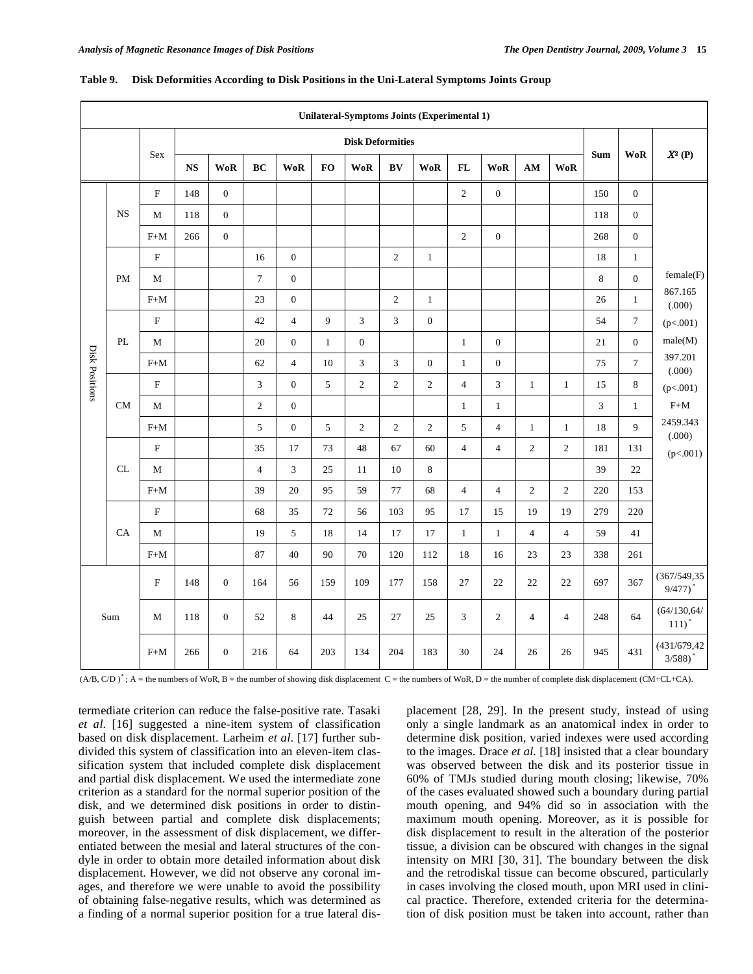|                |           |                           |               |                  |                |                  |              | Unilateral-Symptoms Joints (Experimental 1) |                |                |                |                  |                |                |            |                  |                             |
|----------------|-----------|---------------------------|---------------|------------------|----------------|------------------|--------------|---------------------------------------------|----------------|----------------|----------------|------------------|----------------|----------------|------------|------------------|-----------------------------|
|                |           |                           |               |                  |                |                  |              | <b>Disk Deformities</b>                     |                |                |                |                  |                |                |            |                  |                             |
|                |           | <b>Sex</b>                | $\mathbf{NS}$ | <b>WoR</b>       | BC             | <b>WoR</b>       | FO           | $\mathbf{WoR}$                              | BV             | <b>WoR</b>     | FL             | <b>WoR</b>       | $AM$           | <b>WoR</b>     | <b>Sum</b> | <b>WoR</b>       | $X^2(P)$                    |
|                |           | F                         | 148           | $\boldsymbol{0}$ |                |                  |              |                                             |                |                | $\overline{2}$ | $\boldsymbol{0}$ |                |                | 150        | $\mathbf{0}$     |                             |
|                | <b>NS</b> | $\mathbf M$               | 118           | $\boldsymbol{0}$ |                |                  |              |                                             |                |                |                |                  |                |                | 118        | $\boldsymbol{0}$ |                             |
|                |           | $\mbox{F+M}$              | 266           | $\boldsymbol{0}$ |                |                  |              |                                             |                |                | $\sqrt{2}$     | $\boldsymbol{0}$ |                |                | 268        | $\boldsymbol{0}$ |                             |
|                |           | $\boldsymbol{\mathrm{F}}$ |               |                  | 16             | $\boldsymbol{0}$ |              |                                             | $\overline{2}$ | $\mathbf{1}$   |                |                  |                |                | 18         | $\mathbf{1}$     |                             |
|                | PM        | $\mathbf M$               |               |                  | $\overline{7}$ | $\mathbf{0}$     |              |                                             |                |                |                |                  |                |                | $\,8\,$    | $\boldsymbol{0}$ | female(F)                   |
|                |           | $F+M$                     |               |                  | 23             | $\mathbf{0}$     |              |                                             | $\overline{2}$ | $\mathbf{1}$   |                |                  |                |                | 26         | $\mathbf{1}$     | 867.165<br>(.000)           |
|                |           | $\mathbf F$               |               |                  | 42             | $\overline{4}$   | 9            | 3                                           | 3              | $\mathbf{0}$   |                |                  |                |                | 54         | $\boldsymbol{7}$ | (p<.001)                    |
|                | PL        | $\mathbf M$               |               |                  | 20             | $\boldsymbol{0}$ | $\mathbf{1}$ | $\boldsymbol{0}$                            |                |                | $\mathbf{1}$   | $\boldsymbol{0}$ |                |                | $21\,$     | $\mathbf{0}$     | male(M)                     |
|                |           | $F+M$                     |               |                  | 62             | $\overline{4}$   | 10           | 3                                           | $\mathfrak{Z}$ | $\mathbf{0}$   | $\mathbf{1}$   | $\mathbf{0}$     |                |                | 75         | $7\phantom{.0}$  | 397.201<br>(.000)           |
| Disk Positions |           | $\mathbf F$               |               |                  | $\mathfrak{Z}$ | $\mathbf{0}$     | 5            | $\sqrt{2}$                                  | $\overline{c}$ | $\overline{c}$ | $\overline{4}$ | 3                | $\mathbf{1}$   | $\mathbf{1}$   | 15         | $\bf 8$          | (p<.001)                    |
|                | <b>CM</b> | $\mathbf{M}$              |               |                  | $\overline{2}$ | $\mathbf{0}$     |              |                                             |                |                | $\mathbf{1}$   | $\mathbf{1}$     |                |                | 3          | $\mathbf{1}$     | $F+M$                       |
|                |           | $F+M$                     |               |                  | 5              | $\mathbf{0}$     | 5            | $\sqrt{2}$                                  | $\sqrt{2}$     | $\sqrt{2}$     | 5              | $\overline{4}$   | $\mathbf{1}$   | $\mathbf{1}$   | 18         | 9                | 2459.343<br>(.000)          |
|                |           | $\mathbf F$               |               |                  | 35             | 17               | 73           | 48                                          | 67             | 60             | $\overline{4}$ | $\overline{4}$   | $\overline{c}$ | $\overline{c}$ | 181        | 131              | (p<.001)                    |
|                | CL        | $\mathbf M$               |               |                  | $\overline{4}$ | $\mathfrak{Z}$   | $25\,$       | 11                                          | $10\,$         | $\,$ 8 $\,$    |                |                  |                |                | 39         | 22               |                             |
|                |           | $F+M$                     |               |                  | 39             | 20               | 95           | 59                                          | 77             | 68             | $\overline{4}$ | $\overline{4}$   | $\sqrt{2}$     | $\sqrt{2}$     | 220        | 153              |                             |
|                |           | $\mathbf F$               |               |                  | 68             | 35               | $72\,$       | 56                                          | 103            | 95             | 17             | 15               | 19             | 19             | 279        | 220              |                             |
|                | CA        | M                         |               |                  | 19             | 5                | 18           | 14                                          | 17             | 17             | $\mathbf{1}$   | $\mathbf{1}$     | $\overline{4}$ | $\overline{4}$ | 59         | 41               |                             |
|                |           | $F+M$                     |               |                  | 87             | 40               | 90           | $70\,$                                      | 120            | 112            | 18             | 16               | 23             | 23             | 338        | 261              |                             |
|                | Sum       | $\mathbf F$               | 148           | $\boldsymbol{0}$ | 164            | 56               | 159          | 109                                         | 177            | 158            | 27             | 22               | 22             | 22             | 697        | 367              | (367/549, 35)<br>$9/477$ )* |
|                |           | M                         | 118           | $\mathbf{0}$     | 52             | 8                | 44           | 25                                          | 27             | 25             | 3              | $\overline{c}$   | $\overline{4}$ | $\overline{4}$ | 248        | 64               | (64/130, 64/<br>111)        |
|                |           | $\mathrm{F+M}$            | 266           | $\boldsymbol{0}$ | 216            | 64               | 203          | 134                                         | 204            | 183            | 30             | 24               | 26             | 26             | 945        | 431              | (431/679, 42)<br>$3/588$ )* |

## **Table 9. Disk Deformities According to Disk Positions in the Uni-Lateral Symptoms Joints Group**

 $(A/B, C/D)^*$ ; A = the numbers of WoR, B = the number of showing disk displacement C = the numbers of WoR, D = the number of complete disk displacement (CM+CL+CA).

termediate criterion can reduce the false-positive rate. Tasaki *et al*. [16] suggested a nine-item system of classification based on disk displacement. Larheim *et al*. [17] further subdivided this system of classification into an eleven-item classification system that included complete disk displacement and partial disk displacement. We used the intermediate zone criterion as a standard for the normal superior position of the disk, and we determined disk positions in order to distinguish between partial and complete disk displacements; moreover, in the assessment of disk displacement, we differentiated between the mesial and lateral structures of the condyle in order to obtain more detailed information about disk displacement. However, we did not observe any coronal images, and therefore we were unable to avoid the possibility of obtaining false-negative results, which was determined as a finding of a normal superior position for a true lateral displacement [28, 29]. In the present study, instead of using only a single landmark as an anatomical index in order to determine disk position, varied indexes were used according to the images. Drace *et al*. [18] insisted that a clear boundary was observed between the disk and its posterior tissue in 60% of TMJs studied during mouth closing; likewise, 70% of the cases evaluated showed such a boundary during partial mouth opening, and 94% did so in association with the maximum mouth opening. Moreover, as it is possible for disk displacement to result in the alteration of the posterior tissue, a division can be obscured with changes in the signal intensity on MRI [30, 31]. The boundary between the disk and the retrodiskal tissue can become obscured, particularly in cases involving the closed mouth, upon MRI used in clinical practice. Therefore, extended criteria for the determination of disk position must be taken into account, rather than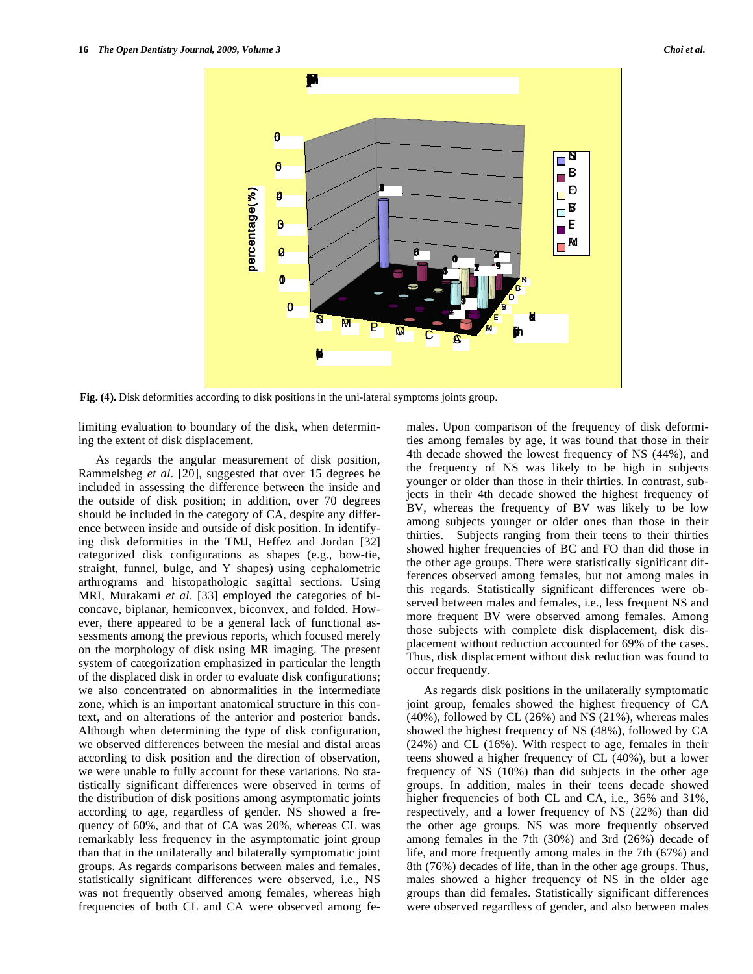

**Fig. (4).** Disk deformities according to disk positions in the uni-lateral symptoms joints group.

limiting evaluation to boundary of the disk, when determining the extent of disk displacement.

 As regards the angular measurement of disk position, Rammelsbeg *et al*. [20], suggested that over 15 degrees be included in assessing the difference between the inside and the outside of disk position; in addition, over 70 degrees should be included in the category of CA, despite any difference between inside and outside of disk position. In identifying disk deformities in the TMJ, Heffez and Jordan [32] categorized disk configurations as shapes (e.g., bow-tie, straight, funnel, bulge, and Y shapes) using cephalometric arthrograms and histopathologic sagittal sections. Using MRI, Murakami *et al*. [33] employed the categories of biconcave, biplanar, hemiconvex, biconvex, and folded. However, there appeared to be a general lack of functional assessments among the previous reports, which focused merely on the morphology of disk using MR imaging. The present system of categorization emphasized in particular the length of the displaced disk in order to evaluate disk configurations; we also concentrated on abnormalities in the intermediate zone, which is an important anatomical structure in this context, and on alterations of the anterior and posterior bands. Although when determining the type of disk configuration, we observed differences between the mesial and distal areas according to disk position and the direction of observation, we were unable to fully account for these variations. No statistically significant differences were observed in terms of the distribution of disk positions among asymptomatic joints according to age, regardless of gender. NS showed a frequency of 60%, and that of CA was 20%, whereas CL was remarkably less frequency in the asymptomatic joint group than that in the unilaterally and bilaterally symptomatic joint groups. As regards comparisons between males and females, statistically significant differences were observed, i.e., NS was not frequently observed among females, whereas high frequencies of both CL and CA were observed among females. Upon comparison of the frequency of disk deformities among females by age, it was found that those in their 4th decade showed the lowest frequency of NS (44%), and the frequency of NS was likely to be high in subjects younger or older than those in their thirties. In contrast, subjects in their 4th decade showed the highest frequency of BV, whereas the frequency of BV was likely to be low among subjects younger or older ones than those in their thirties. Subjects ranging from their teens to their thirties showed higher frequencies of BC and FO than did those in the other age groups. There were statistically significant differences observed among females, but not among males in this regards. Statistically significant differences were observed between males and females, i.e., less frequent NS and more frequent BV were observed among females. Among those subjects with complete disk displacement, disk displacement without reduction accounted for 69% of the cases. Thus, disk displacement without disk reduction was found to occur frequently.

 As regards disk positions in the unilaterally symptomatic joint group, females showed the highest frequency of CA (40%), followed by CL (26%) and NS (21%), whereas males showed the highest frequency of NS (48%), followed by CA (24%) and CL (16%). With respect to age, females in their teens showed a higher frequency of CL (40%), but a lower frequency of NS (10%) than did subjects in the other age groups. In addition, males in their teens decade showed higher frequencies of both CL and CA, i.e., 36% and 31%, respectively, and a lower frequency of NS (22%) than did the other age groups. NS was more frequently observed among females in the 7th (30%) and 3rd (26%) decade of life, and more frequently among males in the 7th (67%) and 8th (76%) decades of life, than in the other age groups. Thus, males showed a higher frequency of NS in the older age groups than did females. Statistically significant differences were observed regardless of gender, and also between males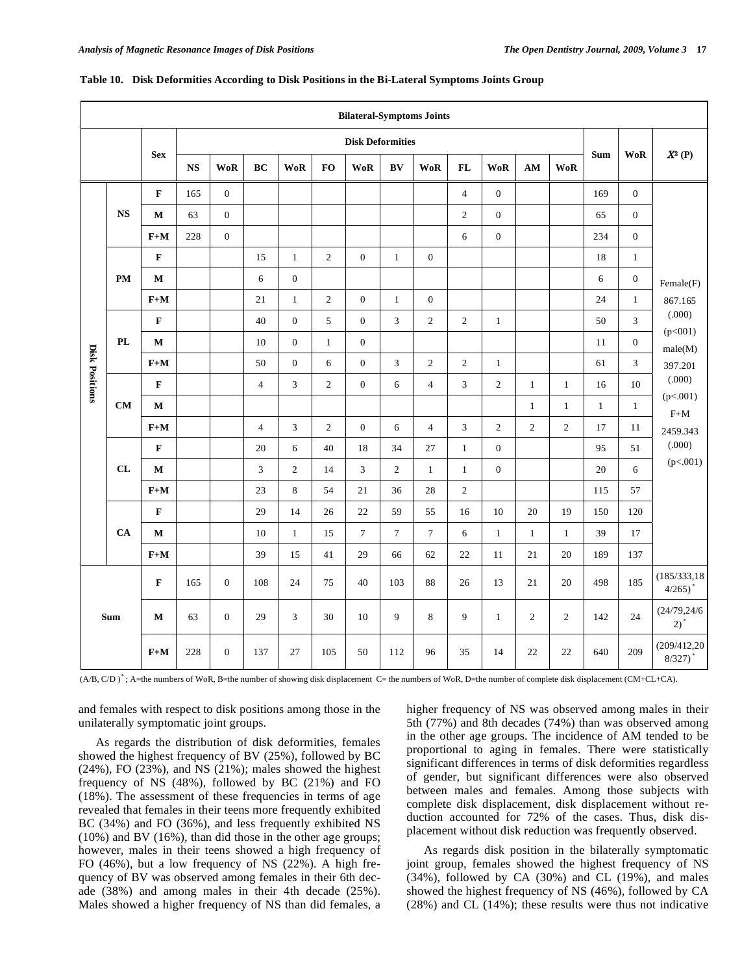|                       |                         |                         |                        |                  |                  |                  |                  | <b>Bilateral-Symptoms Joints</b> |                        |                  |                |                  |                        |                |              |                  |                                        |
|-----------------------|-------------------------|-------------------------|------------------------|------------------|------------------|------------------|------------------|----------------------------------|------------------------|------------------|----------------|------------------|------------------------|----------------|--------------|------------------|----------------------------------------|
|                       |                         |                         |                        |                  |                  |                  |                  | <b>Disk Deformities</b>          |                        |                  |                |                  |                        |                |              |                  |                                        |
|                       |                         | <b>Sex</b>              | $\mathbf{N}\mathbf{S}$ | <b>WoR</b>       | BC               | <b>WoR</b>       | $\mathbf{FO}$    | $\mathbf{WoR}$                   | $\mathbf{B}\mathbf{V}$ | <b>WoR</b>       | FL             | <b>WoR</b>       | $\mathbf{A}\mathbf{M}$ | <b>WoR</b>     | <b>Sum</b>   | <b>WoR</b>       | $X^2(P)$                               |
|                       |                         | $\mathbf F$             | 165                    | $\mathbf{0}$     |                  |                  |                  |                                  |                        |                  | $\overline{4}$ | $\boldsymbol{0}$ |                        |                | 169          | $\mathbf{0}$     |                                        |
|                       | <b>NS</b>               | M                       | 63                     | $\mathbf{0}$     |                  |                  |                  |                                  |                        |                  | $\overline{c}$ | $\boldsymbol{0}$ |                        |                | 65           | $\mathbf{0}$     |                                        |
|                       |                         | $\mathbf{F}+\mathbf{M}$ | 228                    | $\boldsymbol{0}$ |                  |                  |                  |                                  |                        |                  | 6              | $\boldsymbol{0}$ |                        |                | 234          | $\boldsymbol{0}$ |                                        |
|                       |                         | $\mathbf F$             |                        |                  | 15               | $\mathbf{1}$     | $\overline{c}$   | $\mathbf{0}$                     | $\mathbf{1}$           | $\boldsymbol{0}$ |                |                  |                        |                | $18\,$       | $\mathbf{1}$     |                                        |
|                       | <b>PM</b>               | $\mathbf M$             |                        |                  | 6                | $\boldsymbol{0}$ |                  |                                  |                        |                  |                |                  |                        |                | 6            | $\boldsymbol{0}$ | Female(F)                              |
|                       |                         | $F+M$                   |                        |                  | 21               | $\mathbf{1}$     | $\overline{2}$   | $\overline{0}$                   | $\mathbf{1}$           | $\mathbf{0}$     |                |                  |                        |                | 24           | $\mathbf{1}$     | 867.165                                |
|                       |                         | $\mathbf{F}$            |                        |                  | 40               | $\boldsymbol{0}$ | 5                | $\boldsymbol{0}$                 | 3                      | $\sqrt{2}$       | $\overline{c}$ | $\mathbf{1}$     |                        |                | 50           | $\mathfrak{Z}$   | (.000)<br>(p<001)                      |
|                       | PL                      | $\mathbf M$             |                        |                  | 10               | $\boldsymbol{0}$ | $\mathbf{1}$     | $\boldsymbol{0}$                 |                        |                  |                |                  |                        |                | $11\,$       | $\boldsymbol{0}$ | male(M)                                |
| <b>Disk Positions</b> | $\mathbf{F}+\mathbf{M}$ |                         |                        | 50               | $\boldsymbol{0}$ | 6                | $\boldsymbol{0}$ | $\overline{3}$                   | $\overline{2}$         | 2                | $\mathbf{1}$   |                  |                        | 61             | 3            | 397.201          |                                        |
|                       | $\mathbf F$             |                         |                        | $\overline{4}$   | 3                | $\overline{c}$   | $\boldsymbol{0}$ | 6                                | $\overline{4}$         | 3                | $\mathbf{2}$   | $\mathbf{1}$     | $\mathbf{1}$           | 16             | 10           | (.000)           |                                        |
|                       | <b>CM</b>               | $\mathbf M$             |                        |                  |                  |                  |                  |                                  |                        |                  |                |                  | $\mathbf{1}$           | $\mathbf{1}$   | $\mathbf{1}$ | $\mathbf{1}$     | (p<.001)<br>$\mbox{F+M}$               |
|                       |                         | $F+M$                   |                        |                  | $\overline{4}$   | 3                | $\overline{c}$   | $\boldsymbol{0}$                 | 6                      | $\overline{4}$   | $\mathfrak{Z}$ | $\overline{c}$   | $\sqrt{2}$             | $\sqrt{2}$     | 17           | $11\,$           | 2459.343                               |
|                       |                         | $\mathbf F$             |                        |                  | 20               | 6                | 40               | 18                               | 34                     | 27               | $\mathbf{1}$   | $\boldsymbol{0}$ |                        |                | 95           | 51               | (.000)                                 |
|                       | CL                      | $\mathbf M$             |                        |                  | 3                | $\overline{c}$   | 14               | 3                                | $\sqrt{2}$             | $\mathbf{1}$     | $\mathbf{1}$   | $\boldsymbol{0}$ |                        |                | $20\,$       | 6                | (p<.001)                               |
|                       |                         | $F+M$                   |                        |                  | 23               | 8                | 54               | 21                               | 36                     | 28               | $\overline{c}$ |                  |                        |                | 115          | 57               |                                        |
|                       |                         | $\mathbf F$             |                        |                  | 29               | 14               | 26               | 22                               | 59                     | 55               | 16             | $10\,$           | 20                     | 19             | 150          | 120              |                                        |
|                       | CA                      | $\mathbf M$             |                        |                  | 10               | $\mathbf{1}$     | 15               | $\overline{7}$                   | $\boldsymbol{7}$       | $\boldsymbol{7}$ | 6              | $\mathbf{1}$     | $\mathbf{1}$           | $\mathbf{1}$   | 39           | 17               |                                        |
|                       |                         | $F+M$                   |                        |                  | 39               | 15               | 41               | 29                               | 66                     | 62               | 22             | 11               | 21                     | 20             | 189          | 137              |                                        |
|                       |                         | $\mathbf F$             | 165                    | $\boldsymbol{0}$ | 108              | 24               | 75               | 40                               | 103                    | $\bf 88$         | $26\,$         | 13               | $21\,$                 | $20\,$         | 498          | 185              | (185/333, 18)<br>$4/265)$ <sup>*</sup> |
|                       | <b>Sum</b>              | $\mathbf M$             | 63                     | $\boldsymbol{0}$ | 29               | 3                | 30               | 10                               | 9                      | $\,8\,$          | 9              | $\mathbf{1}$     | $\overline{2}$         | $\overline{c}$ | 142          | 24               | (24/79, 24/6)<br>$2)^*$                |
|                       |                         | $F+M$                   | 228                    | $\boldsymbol{0}$ | 137              | 27               | 105              | 50                               | 112                    | 96               | 35             | 14               | 22                     | 22             | 640          | 209              | (209/412,20)<br>8/327                  |

#### **Table 10. Disk Deformities According to Disk Positions in the Bi-Lateral Symptoms Joints Group**

(A/B, C/D )\* ; A=the numbers of WoR, B=the number of showing disk displacement C= the numbers of WoR, D=the number of complete disk displacement (CM+CL+CA).

and females with respect to disk positions among those in the unilaterally symptomatic joint groups.

 As regards the distribution of disk deformities, females showed the highest frequency of BV (25%), followed by BC  $(24\%)$ , FO  $(23\%)$ , and NS  $(21\%)$ ; males showed the highest frequency of NS (48%), followed by BC (21%) and FO (18%). The assessment of these frequencies in terms of age revealed that females in their teens more frequently exhibited BC (34%) and FO (36%), and less frequently exhibited NS (10%) and BV (16%), than did those in the other age groups; however, males in their teens showed a high frequency of FO (46%), but a low frequency of NS (22%). A high frequency of BV was observed among females in their 6th decade (38%) and among males in their 4th decade (25%). Males showed a higher frequency of NS than did females, a higher frequency of NS was observed among males in their 5th (77%) and 8th decades (74%) than was observed among in the other age groups. The incidence of AM tended to be proportional to aging in females. There were statistically significant differences in terms of disk deformities regardless of gender, but significant differences were also observed between males and females. Among those subjects with complete disk displacement, disk displacement without reduction accounted for 72% of the cases. Thus, disk displacement without disk reduction was frequently observed.

 As regards disk position in the bilaterally symptomatic joint group, females showed the highest frequency of NS  $(34%)$ , followed by CA  $(30%)$  and CL  $(19%)$ , and males showed the highest frequency of NS (46%), followed by CA (28%) and CL (14%); these results were thus not indicative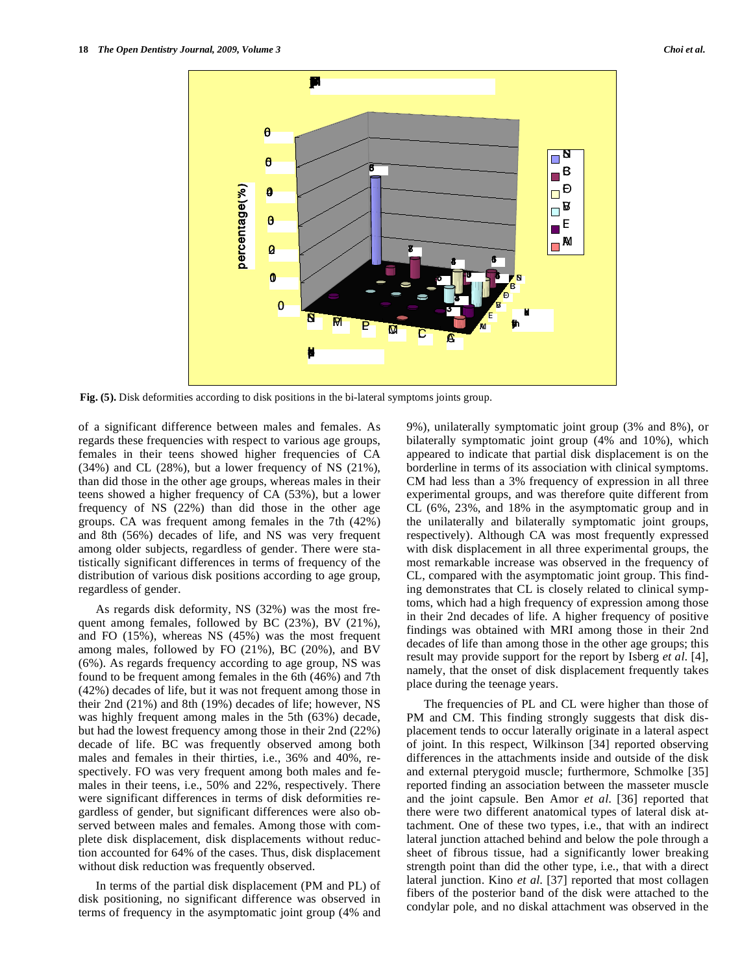

**Fig. (5).** Disk deformities according to disk positions in the bi-lateral symptoms joints group.

of a significant difference between males and females. As regards these frequencies with respect to various age groups, females in their teens showed higher frequencies of CA (34%) and CL (28%), but a lower frequency of NS (21%), than did those in the other age groups, whereas males in their teens showed a higher frequency of CA (53%), but a lower frequency of NS (22%) than did those in the other age groups. CA was frequent among females in the 7th (42%) and 8th (56%) decades of life, and NS was very frequent among older subjects, regardless of gender. There were statistically significant differences in terms of frequency of the distribution of various disk positions according to age group, regardless of gender.

 As regards disk deformity, NS (32%) was the most frequent among females, followed by BC (23%), BV (21%), and FO (15%), whereas NS (45%) was the most frequent among males, followed by FO (21%), BC (20%), and BV (6%). As regards frequency according to age group, NS was found to be frequent among females in the 6th (46%) and 7th (42%) decades of life, but it was not frequent among those in their 2nd (21%) and 8th (19%) decades of life; however, NS was highly frequent among males in the 5th (63%) decade, but had the lowest frequency among those in their 2nd (22%) decade of life. BC was frequently observed among both males and females in their thirties, i.e., 36% and 40%, respectively. FO was very frequent among both males and females in their teens, i.e., 50% and 22%, respectively. There were significant differences in terms of disk deformities regardless of gender, but significant differences were also observed between males and females. Among those with complete disk displacement, disk displacements without reduction accounted for 64% of the cases. Thus, disk displacement without disk reduction was frequently observed.

 In terms of the partial disk displacement (PM and PL) of disk positioning, no significant difference was observed in terms of frequency in the asymptomatic joint group (4% and 9%), unilaterally symptomatic joint group (3% and 8%), or bilaterally symptomatic joint group (4% and 10%), which appeared to indicate that partial disk displacement is on the borderline in terms of its association with clinical symptoms. CM had less than a 3% frequency of expression in all three experimental groups, and was therefore quite different from CL (6%, 23%, and 18% in the asymptomatic group and in the unilaterally and bilaterally symptomatic joint groups, respectively). Although CA was most frequently expressed with disk displacement in all three experimental groups, the most remarkable increase was observed in the frequency of CL, compared with the asymptomatic joint group. This finding demonstrates that CL is closely related to clinical symptoms, which had a high frequency of expression among those in their 2nd decades of life. A higher frequency of positive findings was obtained with MRI among those in their 2nd decades of life than among those in the other age groups; this result may provide support for the report by Isberg *et al*. [4], namely, that the onset of disk displacement frequently takes place during the teenage years.

 The frequencies of PL and CL were higher than those of PM and CM. This finding strongly suggests that disk displacement tends to occur laterally originate in a lateral aspect of joint. In this respect, Wilkinson [34] reported observing differences in the attachments inside and outside of the disk and external pterygoid muscle; furthermore, Schmolke [35] reported finding an association between the masseter muscle and the joint capsule. Ben Amor *et al*. [36] reported that there were two different anatomical types of lateral disk attachment. One of these two types, i.e., that with an indirect lateral junction attached behind and below the pole through a sheet of fibrous tissue, had a significantly lower breaking strength point than did the other type, i.e., that with a direct lateral junction. Kino *et al*. [37] reported that most collagen fibers of the posterior band of the disk were attached to the condylar pole, and no diskal attachment was observed in the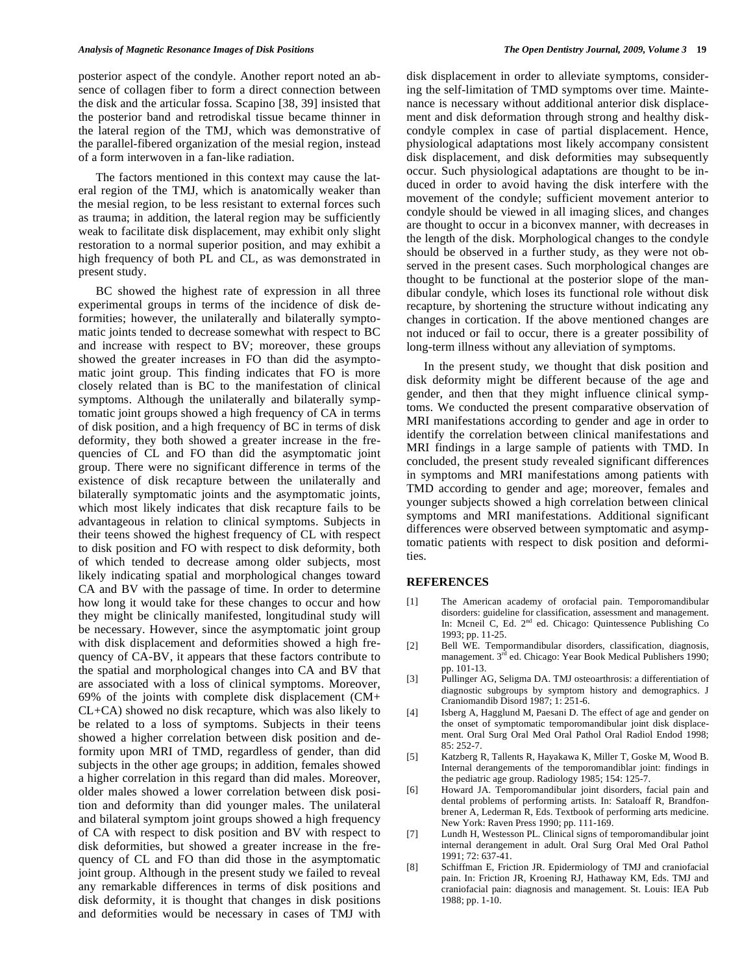posterior aspect of the condyle. Another report noted an absence of collagen fiber to form a direct connection between the disk and the articular fossa. Scapino [38, 39] insisted that the posterior band and retrodiskal tissue became thinner in the lateral region of the TMJ, which was demonstrative of the parallel-fibered organization of the mesial region, instead of a form interwoven in a fan-like radiation.

 The factors mentioned in this context may cause the lateral region of the TMJ, which is anatomically weaker than the mesial region, to be less resistant to external forces such as trauma; in addition, the lateral region may be sufficiently weak to facilitate disk displacement, may exhibit only slight restoration to a normal superior position, and may exhibit a high frequency of both PL and CL, as was demonstrated in present study.

 BC showed the highest rate of expression in all three experimental groups in terms of the incidence of disk deformities; however, the unilaterally and bilaterally symptomatic joints tended to decrease somewhat with respect to BC and increase with respect to BV; moreover, these groups showed the greater increases in FO than did the asymptomatic joint group. This finding indicates that FO is more closely related than is BC to the manifestation of clinical symptoms. Although the unilaterally and bilaterally symptomatic joint groups showed a high frequency of CA in terms of disk position, and a high frequency of BC in terms of disk deformity, they both showed a greater increase in the frequencies of CL and FO than did the asymptomatic joint group. There were no significant difference in terms of the existence of disk recapture between the unilaterally and bilaterally symptomatic joints and the asymptomatic joints, which most likely indicates that disk recapture fails to be advantageous in relation to clinical symptoms. Subjects in their teens showed the highest frequency of CL with respect to disk position and FO with respect to disk deformity, both of which tended to decrease among older subjects, most likely indicating spatial and morphological changes toward CA and BV with the passage of time. In order to determine how long it would take for these changes to occur and how they might be clinically manifested, longitudinal study will be necessary. However, since the asymptomatic joint group with disk displacement and deformities showed a high frequency of CA-BV, it appears that these factors contribute to the spatial and morphological changes into CA and BV that are associated with a loss of clinical symptoms. Moreover, 69% of the joints with complete disk displacement (CM+ CL+CA) showed no disk recapture, which was also likely to be related to a loss of symptoms. Subjects in their teens showed a higher correlation between disk position and deformity upon MRI of TMD, regardless of gender, than did subjects in the other age groups; in addition, females showed a higher correlation in this regard than did males. Moreover, older males showed a lower correlation between disk position and deformity than did younger males. The unilateral and bilateral symptom joint groups showed a high frequency of CA with respect to disk position and BV with respect to disk deformities, but showed a greater increase in the frequency of CL and FO than did those in the asymptomatic joint group. Although in the present study we failed to reveal any remarkable differences in terms of disk positions and disk deformity, it is thought that changes in disk positions and deformities would be necessary in cases of TMJ with

disk displacement in order to alleviate symptoms, considering the self-limitation of TMD symptoms over time. Maintenance is necessary without additional anterior disk displacement and disk deformation through strong and healthy diskcondyle complex in case of partial displacement. Hence, physiological adaptations most likely accompany consistent disk displacement, and disk deformities may subsequently occur. Such physiological adaptations are thought to be induced in order to avoid having the disk interfere with the movement of the condyle; sufficient movement anterior to condyle should be viewed in all imaging slices, and changes are thought to occur in a biconvex manner, with decreases in the length of the disk. Morphological changes to the condyle should be observed in a further study, as they were not observed in the present cases. Such morphological changes are thought to be functional at the posterior slope of the mandibular condyle, which loses its functional role without disk recapture, by shortening the structure without indicating any changes in cortication. If the above mentioned changes are not induced or fail to occur, there is a greater possibility of long-term illness without any alleviation of symptoms.

 In the present study, we thought that disk position and disk deformity might be different because of the age and gender, and then that they might influence clinical symptoms. We conducted the present comparative observation of MRI manifestations according to gender and age in order to identify the correlation between clinical manifestations and MRI findings in a large sample of patients with TMD. In concluded, the present study revealed significant differences in symptoms and MRI manifestations among patients with TMD according to gender and age; moreover, females and younger subjects showed a high correlation between clinical symptoms and MRI manifestations. Additional significant differences were observed between symptomatic and asymptomatic patients with respect to disk position and deformities.

## **REFERENCES**

- [1] The American academy of orofacial pain. Temporomandibular disorders: guideline for classification, assessment and management. In: Mcneil C, Ed. 2<sup>nd</sup> ed. Chicago: Quintessence Publishing Co 1993; pp. 11-25.
- [2] Bell WE. Tempormandibular disorders, classification, diagnosis, management. 3<sup>rd</sup> ed. Chicago: Year Book Medical Publishers 1990; pp. 101-13.
- [3] Pullinger AG, Seligma DA. TMJ osteoarthrosis: a differentiation of diagnostic subgroups by symptom history and demographics. J Craniomandib Disord 1987; 1: 251-6.
- [4] Isberg A, Hagglund M, Paesani D. The effect of age and gender on the onset of symptomatic temporomandibular joint disk displacement. Oral Surg Oral Med Oral Pathol Oral Radiol Endod 1998; 85: 252-7.
- [5] Katzberg R, Tallents R, Hayakawa K, Miller T, Goske M, Wood B. Internal derangements of the temporomandiblar joint: findings in the pediatric age group. Radiology 1985; 154: 125-7.
- [6] Howard JA. Temporomandibular joint disorders, facial pain and dental problems of performing artists. In: Sataloaff R, Brandfonbrener A, Lederman R, Eds. Textbook of performing arts medicine. New York: Raven Press 1990; pp. 111-169.
- [7] Lundh H, Westesson PL. Clinical signs of temporomandibular joint internal derangement in adult. Oral Surg Oral Med Oral Pathol 1991; 72: 637-41.
- [8] Schiffman E, Friction JR. Epidermiology of TMJ and craniofacial pain. In: Friction JR, Kroening RJ, Hathaway KM, Eds. TMJ and craniofacial pain: diagnosis and management. St. Louis: IEA Pub 1988; pp. 1-10.